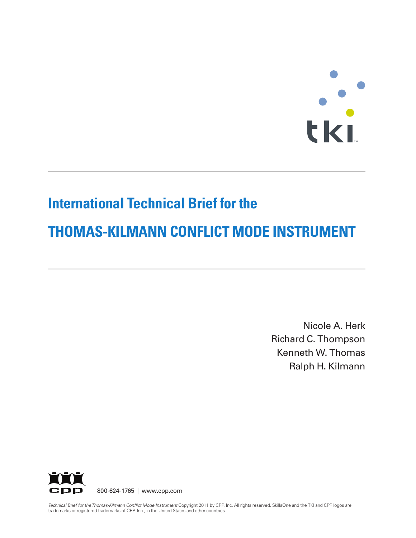# **TERES**

# **International Technical Brief for the**

# **THOMAS-KILMANN CONFLICT MODE INSTRUMENT**

Nicole A. Herk Richard C. Thompson Kenneth W. Thomas Ralph H. Kilmann



*Technical Brief for theThomas-Kilmann Conflict Mode Instrument* Copyright 2011 by CPP, Inc. All rights reserved. SkillsOne and the TKI and CPP logos are trademarks or registered trademarks of CPP, Inc., in the United States and other countries.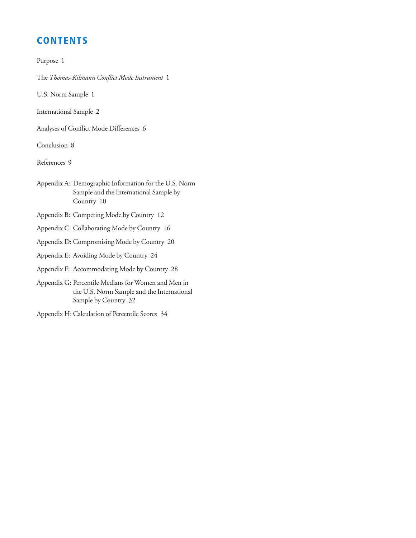# **CONTENTS**

Purpose 1

The *Thomas-Kilmann Conflict Mode Instrument* 1

U.S. Norm Sample 1

International Sample 2

Analyses of Conflict Mode Differences 6

Conclusion 8

References 9

Appendix A: Demographic Information for the U.S. Norm Sample and the International Sample by Country 10

Appendix B: Competing Mode by Country 12

Appendix C: Collaborating Mode by Country 16

Appendix D: Compromising Mode by Country 20

Appendix E: Avoiding Mode by Country 24

Appendix F: Accommodating Mode by Country 28

Appendix G: Percentile Medians for Women and Men in the U.S. Norm Sample and the International Sample by Country 32

Appendix H: Calculation of Percentile Scores 34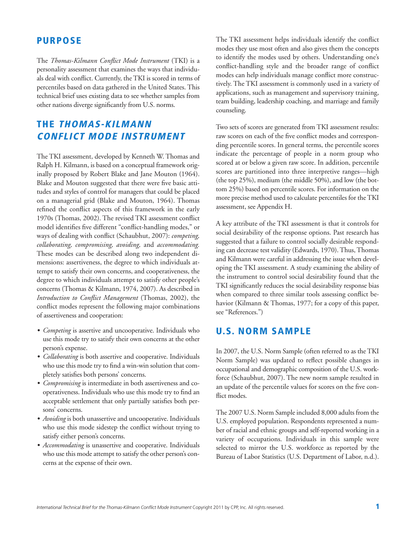## **PURPOSE**

The *Thomas-Kilmann Conflict Mode Instrument* (TKI) is a personality assessment that examines the ways that individuals deal with conflict. Currently, the TKI is scored in terms of percentiles based on data gathered in the United States. This technical brief uses existing data to see whether samples from other nations diverge significantly from U.S. norms.

# **THE THOMAS-KILMANN CONFLICT MODE INSTRUMENT**

The TKI assessment, developed by Kenneth W. Thomas and Ralph H. Kilmann, is based on a conceptual framework originally proposed by Robert Blake and Jane Mouton (1964). Blake and Mouton suggested that there were five basic attitudes and styles of control for managers that could be placed on a managerial grid (Blake and Mouton, 1964). Thomas refined the conflict aspects of this framework in the early 1970s (Thomas, 2002). The revised TKI assessment conflict model identifies five different "conflict-handling modes," or ways of dealing with conflict (Schaubhut, 2007): *competing, collaborating, compromising, avoiding,* and *accommodating.* These modes can be described along two independent dimensions: assertiveness, the degree to which individuals attempt to satisfy their own concerns, and cooperativeness, the degree to which individuals attempt to satisfy other people's concerns (Thomas & Kilmann, 1974, 2007). As described in *Introduction to Conflict Management* (Thomas, 2002), the conflict modes represent the following major combinations of assertiveness and cooperation:

- *Competing* is assertive and uncooperative. Individuals who use this mode try to satisfy their own concerns at the other person's expense.
- *Collaborating* is both assertive and cooperative. Individuals who use this mode try to find a win-win solution that completely satisfies both persons' concerns.
- *Compromising* is intermediate in both assertiveness and cooperativeness. Individuals who use this mode try to find an acceptable settlement that only partially satisfies both persons' concerns.
- *Avoiding* is both unassertive and uncooperative. Individuals who use this mode sidestep the conflict without trying to satisfy either person's concerns.
- *Accommodating* is unassertive and cooperative. Individuals who use this mode attempt to satisfy the other person's concerns at the expense of their own.

The TKI assessment helps individuals identify the conflict modes they use most often and also gives them the concepts to identify the modes used by others. Understanding one's conflict-handling style and the broader range of conflict modes can help individuals manage conflict more constructively. The TKI assessment is commonly used in a variety of applications, such as management and supervisory training, team building, leadership coaching, and marriage and family counseling.

Two sets of scores are generated from TKI assessment results: raw scores on each of the five conflict modes and corresponding percentile scores. In general terms, the percentile scores indicate the percentage of people in a norm group who scored at or below a given raw score. In addition, percentile scores are partitioned into three interpretive ranges—high (the top 25%), medium (the middle 50%), and low (the bottom 25%) based on percentile scores. For information on the more precise method used to calculate percentiles for theTKI assessment, see Appendix H.

A key attribute of the TKI assessment is that it controls for social desirability of the response options. Past research has suggested that a failure to control socially desirable responding can decrease test validity (Edwards, 1970). Thus, Thomas and Kilmann were careful in addressing the issue when developing the TKI assessment. A study examining the ability of the instrument to control social desirability found that the TKI significantly reduces the social desirability response bias when compared to three similar tools assessing conflict behavior (Kilmann & Thomas, 1977; for a copy of this paper, see "References.")

# **U.S. NORM SAMPLE**

In 2007, the U.S. Norm Sample (often referred to as the TKI Norm Sample) was updated to reflect possible changes in occupational and demographic composition of the U.S. workforce (Schaubhut, 2007). The new norm sample resulted in an update of the percentile values for scores on the five conflict modes.

The 2007 U.S. Norm Sample included 8,000 adults from the U.S. employed population. Respondents represented a number of racial and ethnic groups and self-reported working in a variety of occupations. Individuals in this sample were selected to mirror the U.S. workforce as reported by the Bureau of Labor Statistics (U.S. Department of Labor, n.d.).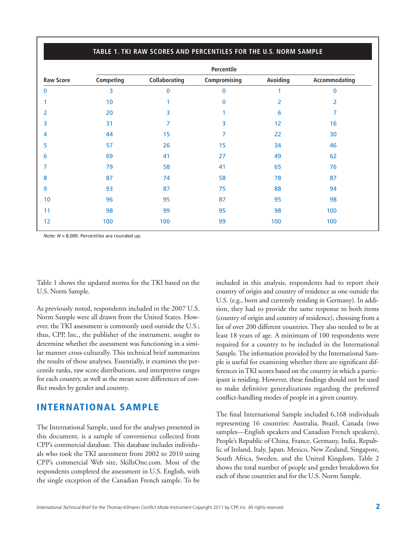|                  | Percentile |                      |              |          |               |  |  |  |  |  |
|------------------|------------|----------------------|--------------|----------|---------------|--|--|--|--|--|
| <b>Raw Score</b> | Competing  | <b>Collaborating</b> | Compromising | Avoiding | Accommodating |  |  |  |  |  |
| $\mathbf{0}$     | 3          | $\mathbf{0}$         | 0            | 1        | 0             |  |  |  |  |  |
|                  | 10         | 1                    | 0            | 2        | 2             |  |  |  |  |  |
| 2                | 20         | 3                    |              | 6        | 7             |  |  |  |  |  |
| 3                | 31         | 7                    | 3            | 12       | 16            |  |  |  |  |  |
| 4                | 44         | 15                   | 7            | 22       | 30            |  |  |  |  |  |
| 5                | 57         | 26                   | 15           | 34       | 46            |  |  |  |  |  |
| 6                | 69         | 41                   | 27           | 49       | 62            |  |  |  |  |  |
| 7                | 79         | 58                   | 41           | 65       | 76            |  |  |  |  |  |
| 8                | 87         | 74                   | 58           | 78       | 87            |  |  |  |  |  |
| 9                | 93         | 87                   | 75           | 88       | 94            |  |  |  |  |  |
| 10 <sup>°</sup>  | 96         | 95                   | 87           | 95       | 98            |  |  |  |  |  |
| 11               | 98         | 99                   | 95           | 98       | 100           |  |  |  |  |  |
| 12               | 100        | 100                  | 99           | 100      | 100           |  |  |  |  |  |

#### **TABLE 1. TKI RAW SCORES AND PERCENTILES FOR THE U.S. NORM SAMPLE**

*Note: N* = 8,000. Percentiles are rounded up.

Table 1 shows the updated norms for the TKI based on the U.S. Norm Sample.

As previously noted, respondents included in the 2007 U.S. Norm Sample were all drawn from the United States. However, the TKI assessment is commonly used outside the U.S.; thus, CPP, Inc., the publisher of the instrument, sought to determine whether the assessment was functioning in a similar manner cross-culturally. This technical brief summarizes the results of those analyses. Essentially, it examines the percentile ranks, raw score distributions, and interpretive ranges for each country, as well as the mean score differences of conflict modes by gender and country.

## **INTERNATIONAL SAMPLE**

The International Sample, used for the analyses presented in this document, is a sample of convenience collected from CPP's commercial database. This database includes individuals who took the TKI assessment from 2002 to 2010 using CPP's commercial Web site, SkillsOne.com. Most of the respondents completed the assessment in U.S. English, with the single exception of the Canadian French sample. To be included in this analysis, respondents had to report their country of origin and country of residence as one outside the U.S. (e.g., born and currently residing in Germany). In addition, they had to provide the same response to both items (country of origin and country of residence), choosing from a list of over 200 different countries. They also needed to be at least 18 years of age. A minimum of 100 respondents were required for a country to be included in the International Sample.The information provided by the International Sample is useful for examining whether there are significant differences inTKI scores based on the country in which a participant is residing. However, these findings should not be used to make definitive generalizations regarding the preferred conflict-handling modes of people in a given country.

The final International Sample included 6,168 individuals representing 16 countries: Australia, Brazil, Canada (two samples—English speakers and Canadian French speakers), People's Republic of China, France, Germany, India, Republic of Ireland, Italy, Japan, Mexico, New Zealand, Singapore, South Africa, Sweden, and the United Kingdom. Table 2 shows the total number of people and gender breakdown for each of these countries and for the U.S. Norm Sample.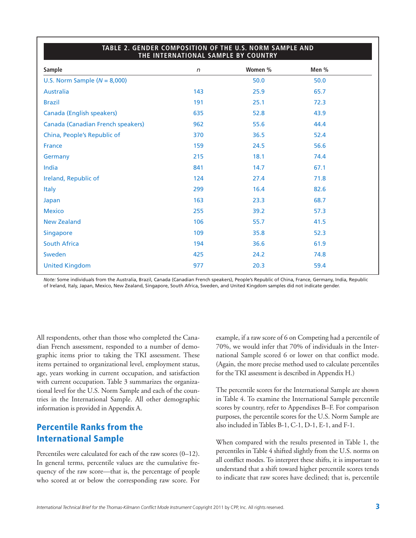| THE INTERNATIONAL SAMPLE BY COUNTRY |            |         |       |  |  |  |  |  |  |
|-------------------------------------|------------|---------|-------|--|--|--|--|--|--|
| <b>Sample</b>                       | $\sqrt{n}$ | Women % | Men % |  |  |  |  |  |  |
| U.S. Norm Sample ( $N = 8,000$ )    |            | 50.0    | 50.0  |  |  |  |  |  |  |
| <b>Australia</b>                    | 143        | 25.9    | 65.7  |  |  |  |  |  |  |
| <b>Brazil</b>                       | 191        | 25.1    | 72.3  |  |  |  |  |  |  |
| <b>Canada (English speakers)</b>    | 635        | 52.8    | 43.9  |  |  |  |  |  |  |
| Canada (Canadian French speakers)   | 962        | 55.6    | 44.4  |  |  |  |  |  |  |
| China, People's Republic of         | 370        | 36.5    | 52.4  |  |  |  |  |  |  |
| <b>France</b>                       | 159        | 24.5    | 56.6  |  |  |  |  |  |  |
| Germany                             | 215        | 18.1    | 74.4  |  |  |  |  |  |  |
| India                               | 841        | 14.7    | 67.1  |  |  |  |  |  |  |
| Ireland, Republic of                | 124        | 27.4    | 71.8  |  |  |  |  |  |  |
| <b>Italy</b>                        | 299        | 16.4    | 82.6  |  |  |  |  |  |  |
| Japan                               | 163        | 23.3    | 68.7  |  |  |  |  |  |  |
| <b>Mexico</b>                       | 255        | 39.2    | 57.3  |  |  |  |  |  |  |
| <b>New Zealand</b>                  | 106        | 55.7    | 41.5  |  |  |  |  |  |  |
| Singapore                           | 109        | 35.8    | 52.3  |  |  |  |  |  |  |
| <b>South Africa</b>                 | 194        | 36.6    | 61.9  |  |  |  |  |  |  |
| Sweden                              | 425        | 24.2    | 74.8  |  |  |  |  |  |  |
| <b>United Kingdom</b>               | 977        | 20.3    | 59.4  |  |  |  |  |  |  |
|                                     |            |         |       |  |  |  |  |  |  |

# **TABLE 2. GENDER COMPOSITION OF THE U.S. NORM SAMPLE AND**

*Note:* Some individuals from the Australia, Brazil, Canada (Canadian French speakers), People's Republic of China, France, Germany, India, Republic of Ireland, Italy, Japan, Mexico, New Zealand, Singapore, South Africa, Sweden, and United Kingdom samples did not indicate gender.

All respondents, other than those who completed the Canadian French assessment, responded to a number of demographic items prior to taking the TKI assessment. These items pertained to organizational level, employment status, age, years working in current occupation, and satisfaction with current occupation. Table 3 summarizes the organizational level for the U.S. Norm Sample and each of the countries in the International Sample. All other demographic information is provided in Appendix A.

# **Percentile Ranks from the International Sample**

Percentiles were calculated for each of the raw scores (0–12). In general terms, percentile values are the cumulative frequency of the raw score—that is, the percentage of people who scored at or below the corresponding raw score. For example, if a raw score of 6 on Competing had a percentile of 70%, we would infer that 70% of individuals in the International Sample scored 6 or lower on that conflict mode. (Again, the more precise method used to calculate percentiles for the TKI assessment is described in Appendix H.)

The percentile scores for the International Sample are shown in Table 4. To examine the International Sample percentile scores by country, refer to Appendixes B–F. For comparison purposes, the percentile scores for the U.S. Norm Sample are also included inTables B-1, C-1, D-1, E-1, and F-1.

When compared with the results presented in Table 1, the percentiles in Table 4 shifted slightly from the U.S. norms on all conflict modes. To interpret these shifts, it is important to understand that a shift toward higher percentile scores tends to indicate that raw scores have declined; that is, percentile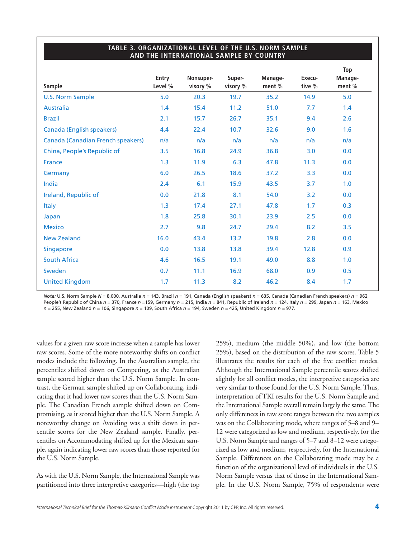#### **TABLE 3. ORGANIZATIONAL LEVEL OF THE U.S. NORM SAMPLE AND THE INTERNATIONAL SAMPLE BY COUNTRY**

| Entry<br>Level % | Nonsuper-<br>visory % | Super-<br>visory % | Manage-<br>ment % | Execu-<br>tive % | Top<br>Manage-<br>ment % |
|------------------|-----------------------|--------------------|-------------------|------------------|--------------------------|
| 5.0              | 20.3                  | 19.7               | 35.2              | 14.9             | 5.0                      |
| 1.4              | 15.4                  | 11.2               | 51.0              | 7.7              | 1.4                      |
| 2.1              | 15.7                  | 26.7               | 35.1              | 9.4              | 2.6                      |
| 4.4              | 22.4                  | 10.7               | 32.6              | 9.0              | 1.6                      |
| n/a              | n/a                   | n/a                | n/a               | n/a              | n/a                      |
| 3.5              | 16.8                  | 24.9               | 36.8              | 3.0              | 0.0                      |
| 1.3              | 11.9                  | 6.3                | 47.8              | 11.3             | 0.0                      |
| 6.0              | 26.5                  | 18.6               | 37.2              | 3.3              | 0.0                      |
| 2.4              | 6.1                   | 15.9               | 43.5              | 3.7              | 1.0                      |
| 0.0              | 21.8                  | 8.1                | 54.0              | 3.2              | 0.0                      |
| 1.3              | 17.4                  | 27.1               | 47.8              | 1.7              | 0.3                      |
| 1.8              | 25.8                  | 30.1               | 23.9              | 2.5              | 0.0                      |
| 2.7              | 9.8                   | 24.7               | 29.4              | 8.2              | 3.5                      |
| 16.0             | 43.4                  | 13.2               | 19.8              | 2.8              | 0.0                      |
| 0.0              | 13.8                  | 13.8               | 39.4              | 12.8             | 0.9                      |
| 4.6              | 16.5                  | 19.1               | 49.0              | 8.8              | 1.0                      |
| 0.7              | 11.1                  | 16.9               | 68.0              | 0.9              | 0.5                      |
| 1.7              | 11.3                  | 8.2                | 46.2              | 8.4              | 1.7                      |
|                  |                       |                    |                   |                  |                          |

*Note:* U.S. Norm Sample *N* = 8,000, Australia *n* = 143, Brazil *n* = 191, Canada (English speakers) *n* = 635, Canada (Canadian French speakers) *n* = 962, People's Republic of China *n* = 370, France *n* =159, Germany *n* = 215, India *n* = 841, Republic of Ireland *n* = 124, Italy *n* = 299, Japan *n* = 163, Mexico *n* = 255, New Zealand *n* = 106, Singapore *n* = 109, South Africa *n* = 194, Sweden *n* = 425, United Kingdom *n* = 977.

values for a given raw score increase when a sample has lower raw scores. Some of the more noteworthy shifts on conflict modes include the following. In the Australian sample, the percentiles shifted down on Competing, as the Australian sample scored higher than the U.S. Norm Sample. In contrast, the German sample shifted up on Collaborating, indicating that it had lower raw scores than the U.S. Norm Sample. The Canadian French sample shifted down on Compromising, as it scored higher than the U.S. Norm Sample. A noteworthy change on Avoiding was a shift down in percentile scores for the New Zealand sample. Finally, percentiles on Accommodating shifted up for the Mexican sample, again indicating lower raw scores than those reported for the U.S. Norm Sample.

As with the U.S. Norm Sample, the International Sample was partitioned into three interpretive categories—high (the top 25%), medium (the middle 50%), and low (the bottom 25%), based on the distribution of the raw scores. Table 5 illustrates the results for each of the five conflict modes. Although the International Sample percentile scores shifted slightly for all conflict modes, the interpretive categories are very similar to those found for the U.S. Norm Sample. Thus, interpretation of TKI results for the U.S. Norm Sample and the International Sample overall remain largely the same.The only differences in raw score ranges between the two samples was on the Collaborating mode, where ranges of 5–8 and 9– 12 were categorized as low and medium, respectively, for the U.S. Norm Sample and ranges of 5–7 and 8–12 were categorized as low and medium, respectively, for the International Sample. Differences on the Collaborating mode may be a function of the organizational level of individuals in the U.S. Norm Sample versus that of those in the International Sample. In the U.S. Norm Sample, 75% of respondents were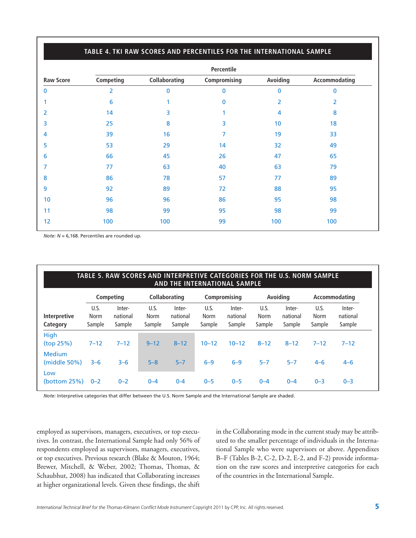#### **TABLE 4. TKI RAW SCORES AND PERCENTILES FOR THE INTERNATIONAL SAMPLE**

|                  | Percentile |               |              |                 |               |  |  |  |  |  |
|------------------|------------|---------------|--------------|-----------------|---------------|--|--|--|--|--|
| <b>Raw Score</b> | Competing  | Collaborating | Compromising | Avoiding        | Accommodating |  |  |  |  |  |
| $\bf{0}$         | 2          | $\bf{0}$      | $\mathbf 0$  | $\mathbf{0}$    | $\mathbf{0}$  |  |  |  |  |  |
|                  | 6          | 1             | 0            | 2               | 2             |  |  |  |  |  |
| 2                | 14         | 3             |              | 4               | 8             |  |  |  |  |  |
| 3                | 25         | 8             | 3            | 10 <sub>1</sub> | 18            |  |  |  |  |  |
| 4                | 39         | 16            | 7            | 19              | 33            |  |  |  |  |  |
| 5                | 53         | 29            | 14           | 32              | 49            |  |  |  |  |  |
| 6                | 66         | 45            | 26           | 47              | 65            |  |  |  |  |  |
| 7                | 77         | 63            | 40           | 63              | 79            |  |  |  |  |  |
| 8                | 86         | 78            | 57           | 77              | 89            |  |  |  |  |  |
| 9                | 92         | 89            | 72           | 88              | 95            |  |  |  |  |  |
| 10               | 96         | 96            | 86           | 95              | 98            |  |  |  |  |  |
| 11               | 98         | 99            | 95           | 98              | 99            |  |  |  |  |  |
| 12               | 100        | 100           | 99           | 100             | 100           |  |  |  |  |  |

*Note: N* = 6,168. Percentiles are rounded up.

| TABLE 5. RAW SCORES AND INTERPRETIVE CATEGORIES FOR THE U.S. NORM SAMPLE<br>AND THE INTERNATIONAL SAMPLE |                        |                              |                        |                              |                               |                              |                        |                              |                               |                              |
|----------------------------------------------------------------------------------------------------------|------------------------|------------------------------|------------------------|------------------------------|-------------------------------|------------------------------|------------------------|------------------------------|-------------------------------|------------------------------|
|                                                                                                          |                        | Competing                    |                        | <b>Collaborating</b>         |                               | Compromising                 |                        | Avoiding                     |                               | Accommodating                |
| <b>Interpretive</b><br>Category                                                                          | U.S.<br>Norm<br>Sample | Inter-<br>national<br>Sample | U.S.<br>Norm<br>Sample | Inter-<br>national<br>Sample | U.S.<br><b>Norm</b><br>Sample | Inter-<br>national<br>Sample | U.S.<br>Norm<br>Sample | Inter-<br>national<br>Sample | U.S.<br><b>Norm</b><br>Sample | Inter-<br>national<br>Sample |
| High<br>(top 25%)                                                                                        | $7 - 12$               | $7 - 12$                     | $9 - 12$               | $8 - 12$                     | $10 - 12$                     | $10 - 12$                    | $8 - 12$               | $8 - 12$                     | $7 - 12$                      | $7 - 12$                     |
| Medium<br>(middle 50%)                                                                                   | $3 - 6$                | $3 - 6$                      | $5 - 8$                | $5 - 7$                      | $6 - 9$                       | $6-9$                        | $5 - 7$                | $5 - 7$                      | $4 - 6$                       | $4 - 6$                      |
| Low<br>(bottom $25\%$ )                                                                                  | $0 - 2$                | $0 - 2$                      | $0 - 4$                | $0 - 4$                      | $0 - 5$                       | $0 - 5$                      | $0 - 4$                | $0 - 4$                      | $0 - 3$                       | $0 - 3$                      |

*Note:* Interpretive categories that differ between the U.S. Norm Sample and the International Sample are shaded.

employed as supervisors, managers, executives, or top executives. In contrast, the International Sample had only 56% of respondents employed as supervisors, managers, executives, or top executives. Previous research (Blake & Mouton, 1964; Brewer, Mitchell, & Weber, 2002; Thomas, Thomas, & Schaubhut, 2008) has indicated that Collaborating increases at higher organizational levels. Given these findings, the shift

in the Collaborating mode in the current study may be attributed to the smaller percentage of individuals in the International Sample who were supervisors or above. Appendixes B–F (Tables B-2, C-2, D-2, E-2, and F-2) provide information on the raw scores and interpretive categories for each of the countries in the International Sample.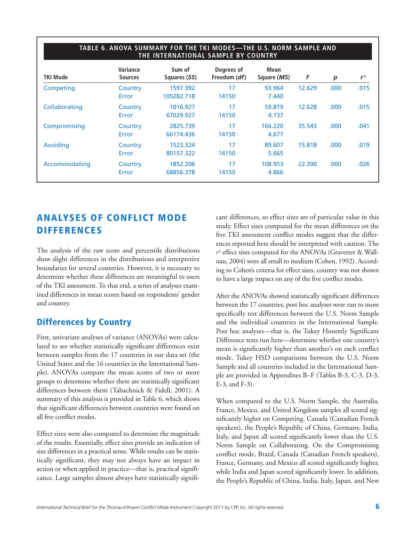| <b>TKI Mode</b> | Variance<br><b>Sources</b> | Sum of<br>Squares (SS) | Degrees of<br>Freedom ( <i>df</i> ) | Mean<br>Square (MS) | F      | p    | r <sup>2</sup> |
|-----------------|----------------------------|------------------------|-------------------------------------|---------------------|--------|------|----------------|
| Competing       | Country<br>Error           | 1597.392<br>105282.718 | 17<br>14150                         | 93.964<br>7.440     | 12.629 | .000 | .015           |
| Collaborating   | Country<br>Error           | 1016.927<br>67029.927  | 17<br>14150                         | 59.819<br>4.737     | 12.628 | .000 | .015           |
| Compromising    | Country<br>Error           | 2825.739<br>66174.436  | 17<br>14150                         | 166.220<br>4.677    | 35.543 | .000 | .041           |
| Avoiding        | Country<br>Error           | 1523.324<br>80157.322  | 17<br>14150                         | 89.607<br>5.665     | 15.818 | .000 | .019           |
| Accommodating   | Country<br>Error           | 1852.206<br>68856.378  | 17<br>14150                         | 108.953<br>4.866    | 22,390 | .000 | .026           |

# **ANALYSES OF CONFLICT MODE DIFFERENCES**

The analysis of the raw score and percentile distributions show slight differences in the distributions and interpretive boundaries for several countries. However, it is necessary to determine whether these differences are meaningful to users of the TKI assessment. To that end, a series of analyses examined differences in mean scores based on respondents' gender and country.

# **Differences by Country**

First, univariate analyses of variance (ANOVAs) were calculated to see whether statistically significant differences exist between samples from the 17 countries in our data set (the United States and the 16 countries in the International Sample). ANOVAs compare the mean scores of two or more groups to determine whether there are statistically significant differences between them (Tabachnick & Fidell, 2001). A summary of this analysis is provided in Table 6, which shows that significant differences between countries were found on all five conflict modes.

Effect sizes were also computed to determine the magnitude of the results. Essentially, effect sizes provide an indication of size differences in a practical sense. While results can be statistically significant, they may not always have an impact in action or when applied in practice—that is, practical significance. Large samples almost always have statistically significant differences, so effect sizes are of particular value in this study. Effect sizes computed for the mean differences on the five TKI assessment conflict modes suggest that the differences reported here should be interpreted with caution. The *r*<sup>2</sup> effect sizes computed for the ANOVAs (Gravetter & Wallnau, 2004) were all small to medium (Cohen, 1992). According to Cohen's criteria for effect sizes, country was not shown to have a large impact on any of the five conflict modes.

After the ANOVAs showed statistically significant differences between the 17 countries, post hoc analyses were run to more specifically test differences between the U.S. Norm Sample and the individual countries in the International Sample. Post hoc analyses—that is, the Tukey Honestly Significant Difference tests run here—determine whether one country's mean is significantly higher than another's on each conflict mode. Tukey HSD comparisons between the U.S. Norm Sample and all countries included in the International Sample are provided in Appendixes B–F (Tables B-3, C-3, D-3, E-3, and F-3).

When compared to the U.S. Norm Sample, the Australia, France, Mexico, and United Kingdom samples all scored significantly higher on Competing. Canada (Canadian French speakers), the People's Republic of China, Germany, India, Italy, and Japan all scored significantly lower than the U.S. Norm Sample on Collaborating. On the Compromising conflict mode, Brazil, Canada (Canadian French speakers), France, Germany, and Mexico all scored significantly higher, while India and Japan scored significantly lower. In addition, the People's Republic of China, India, Italy, Japan, and New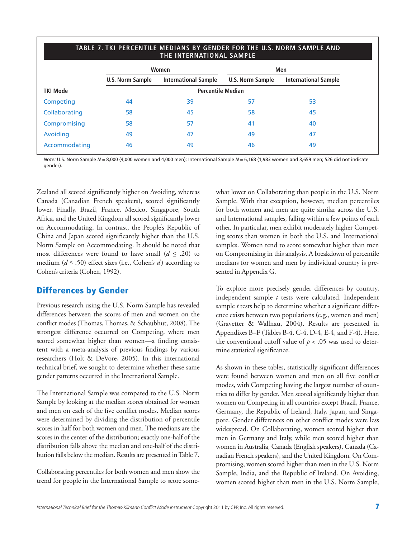#### **TABLE 7. TKI PERCENTILE MEDIANS BY GENDER FOR THE U.S. NORM SAMPLE AND THE INTERNATIONAL SAMPLE**

|                 |                          | Women                       | Men              |                             |  |  |  |  |
|-----------------|--------------------------|-----------------------------|------------------|-----------------------------|--|--|--|--|
|                 | <b>U.S. Norm Sample</b>  | <b>International Sample</b> | U.S. Norm Sample | <b>International Sample</b> |  |  |  |  |
| <b>TKI Mode</b> | <b>Percentile Median</b> |                             |                  |                             |  |  |  |  |
| Competing       | 44                       | 39                          | 57               | 53                          |  |  |  |  |
| Collaborating   | 58                       | 45                          | 58               | 45                          |  |  |  |  |
| Compromising    | 58                       | 57                          | 41               | 40                          |  |  |  |  |
| Avoiding        | 49                       | 47                          | 49               | 47                          |  |  |  |  |
| Accommodating   | 46                       | 49                          | 46               | 49                          |  |  |  |  |

*Note:* U.S. Norm Sample *N* = 8,000 (4,000 women and 4,000 men); International Sample *N* = 6,168 (1,983 women and 3,659 men; 526 did not indicate gender).

Zealand all scored significantly higher on Avoiding, whereas Canada (Canadian French speakers), scored significantly lower. Finally, Brazil, France, Mexico, Singapore, South Africa, and the United Kingdom all scored significantly lower on Accommodating. In contrast, the People's Republic of China and Japan scored significantly higher than the U.S. Norm Sample on Accommodating. It should be noted that most differences were found to have small  $(d \le .20)$  to medium (*d* < .50) effect sizes (i.e., Cohen's *d* ) according to Cohen's criteria (Cohen, 1992).

# **Differences by Gender**

Previous research using the U.S. Norm Sample has revealed differences between the scores of men and women on the conflict modes (Thomas, Thomas, & Schaubhut, 2008). The strongest difference occurred on Competing, where men scored somewhat higher than women—a finding consistent with a meta-analysis of previous findings by various researchers (Holt & DeVore, 2005). In this international technical brief, we sought to determine whether these same gender patterns occurred in the International Sample.

The International Sample was compared to the U.S. Norm Sample by looking at the median scores obtained for women and men on each of the five conflict modes. Median scores were determined by dividing the distribution of percentile scores in half for both women and men. The medians are the scores in the center of the distribution; exactly one-half of the distribution falls above the median and one-half of the distribution falls below the median. Results are presented inTable 7.

Collaborating percentiles for both women and men show the trend for people in the International Sample to score somewhat lower on Collaborating than people in the U.S. Norm Sample. With that exception, however, median percentiles for both women and men are quite similar across the U.S. and International samples, falling within a few points of each other. In particular, men exhibit moderately higher Competing scores than women in both the U.S. and International samples. Women tend to score somewhat higher than men on Compromising in this analysis. A breakdown of percentile medians for women and men by individual country is presented in Appendix G.

To explore more precisely gender differences by country, independent sample *t* tests were calculated. Independent sample *t* tests help to determine whether a significant difference exists between two populations (e.g., women and men) (Gravetter & Wallnau, 2004). Results are presented in Appendixes B–F (Tables B-4, C-4, D-4, E-4, and F-4). Here, the conventional cutoff value of  $p < .05$  was used to determine statistical significance.

As shown in these tables, statistically significant differences were found between women and men on all five conflict modes, with Competing having the largest number of countries to differ by gender. Men scored significantly higher than women on Competing in all countries except Brazil, France, Germany, the Republic of Ireland, Italy, Japan, and Singapore. Gender differences on other conflict modes were less widespread. On Collaborating, women scored higher than men in Germany and Italy, while men scored higher than women in Australia, Canada (English speakers), Canada (Canadian French speakers), and the United Kingdom. On Compromising, women scored higher than men in the U.S. Norm Sample, India, and the Republic of Ireland. On Avoiding, women scored higher than men in the U.S. Norm Sample,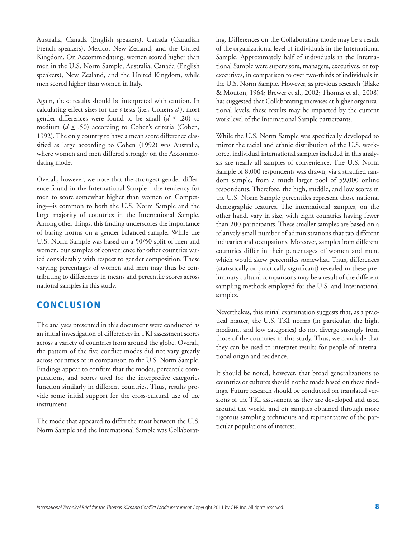Australia, Canada (English speakers), Canada (Canadian French speakers), Mexico, New Zealand, and the United Kingdom. On Accommodating, women scored higher than men in the U.S. Norm Sample, Australia, Canada (English speakers), New Zealand, and the United Kingdom, while men scored higher than women in Italy.

Again, these results should be interpreted with caution. In calculating effect sizes for the *t* tests (i.e., Cohen's *d* ), most gender differences were found to be small  $(d \le .20)$  to medium  $(d \le .50)$  according to Cohen's criteria (Cohen, 1992).The only country to have a mean score difference classified as large according to Cohen (1992) was Australia, where women and men differed strongly on the Accommodating mode.

Overall, however, we note that the strongest gender difference found in the International Sample—the tendency for men to score somewhat higher than women on Competing—is common to both the U.S. Norm Sample and the large majority of countries in the International Sample. Among other things, this finding underscores the importance of basing norms on a gender-balanced sample. While the U.S. Norm Sample was based on a 50/50 split of men and women, our samples of convenience for other countries varied considerably with respect to gender composition. These varying percentages of women and men may thus be contributing to differences in means and percentile scores across national samples in this study.

# **CONCLUSION**

The analyses presented in this document were conducted as an initial investigation of differences inTKI assessment scores across a variety of countries from around the globe. Overall, the pattern of the five conflict modes did not vary greatly across countries or in comparison to the U.S. Norm Sample. Findings appear to confirm that the modes, percentile computations, and scores used for the interpretive categories function similarly in different countries. Thus, results provide some initial support for the cross-cultural use of the instrument.

The mode that appeared to differ the most between the U.S. Norm Sample and the International Sample was Collaborat-

ing. Differences on the Collaborating mode may be a result of the organizational level of individuals in the International Sample. Approximately half of individuals in the International Sample were supervisors, managers, executives, or top executives, in comparison to over two-thirds of individuals in the U.S. Norm Sample. However, as previous research (Blake & Mouton, 1964; Brewer et al., 2002; Thomas et al., 2008) has suggested that Collaborating increases at higher organizational levels, these results may be impacted by the current work level of the International Sample participants.

While the U.S. Norm Sample was specifically developed to mirror the racial and ethnic distribution of the U.S. workforce, individual international samples included in this analysis are nearly all samples of convenience. The U.S. Norm Sample of 8,000 respondents was drawn, via a stratified random sample, from a much larger pool of 59,000 online respondents. Therefore, the high, middle, and low scores in the U.S. Norm Sample percentiles represent those national demographic features. The international samples, on the other hand, vary in size, with eight countries having fewer than 200 participants. These smaller samples are based on a relatively small number of administrations that tap different industries and occupations. Moreover, samples from different countries differ in their percentages of women and men, which would skew percentiles somewhat. Thus, differences (statistically or practically significant) revealed in these preliminary cultural comparisons may be a result of the different sampling methods employed for the U.S. and International samples.

Nevertheless, this initial examination suggests that, as a practical matter, the U.S. TKI norms (in particular, the high, medium, and low categories) do not diverge strongly from those of the countries in this study. Thus, we conclude that they can be used to interpret results for people of international origin and residence.

It should be noted, however, that broad generalizations to countries or cultures should not be made based on these findings. Future research should be conducted on translated versions of the TKI assessment as they are developed and used around the world, and on samples obtained through more rigorous sampling techniques and representative of the particular populations of interest.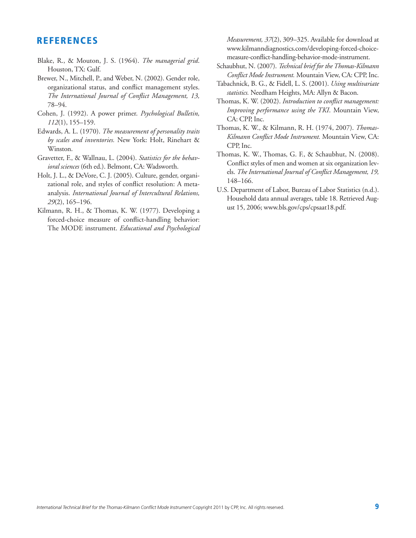# **REFERENCES**

- Blake, R., & Mouton, J. S. (1964). *The managerial grid*. Houston,TX: Gulf.
- Brewer, N., Mitchell, P., and Weber, N. (2002). Gender role, organizational status, and conflict management styles. *The International Journal of Conflict Management, 13,* 78–94.
- Cohen, J. (1992). A power primer. *Psychological Bulletin, 112*(1), 155–159.
- Edwards, A. L. (1970). *The measurement of personality traits by scales and inventories.* New York: Holt, Rinehart & Winston.
- Gravetter, F., & Wallnau, L. (2004). *Statistics for the behavioral sciences* (6th ed.). Belmont, CA: Wadsworth.
- Holt, J. L., & DeVore, C. J. (2005). Culture, gender, organizational role, and styles of conflict resolution: A metaanalysis. *International Journal of Intercultural Relations, 29*(2), 165–196.
- Kilmann, R. H., & Thomas, K. W. (1977). Developing a forced-choice measure of conflict-handling behavior: The MODE instrument. *Educational and Psychological*

*Measurement, 37*(2), 309–325. Available for download at www.kilmanndiagnostics.com/developing-forced-choicemeasure-conflict-handling-behavior-mode-instrument.

- Schaubhut, N. (2007). *Technical brief for the Thomas-Kilmann Conflict Mode Instrument.* Mountain View, CA: CPP, Inc.
- Tabachnick, B. G., & Fidell, L. S. (2001). *Using multivariate statistics.* Needham Heights, MA: Allyn & Bacon.
- Thomas, K. W. (2002). *Introduction to conflict management: Improving performance using the TKI*. Mountain View, CA: CPP, Inc.
- Thomas, K. W., & Kilmann, R. H. (1974, 2007). *Thomas-Kilmann Conflict Mode Instrument.* Mountain View, CA: CPP, Inc.
- Thomas, K. W., Thomas, G. F., & Schaubhut, N. (2008). Conflict styles of men and women at six organization levels. *The International Journal of Conflict Management, 19,* 148–166.
- U.S. Department of Labor, Bureau of Labor Statistics (n.d.). Household data annual averages, table 18. Retrieved August 15, 2006; www.bls.gov/cps/cpsaat18.pdf.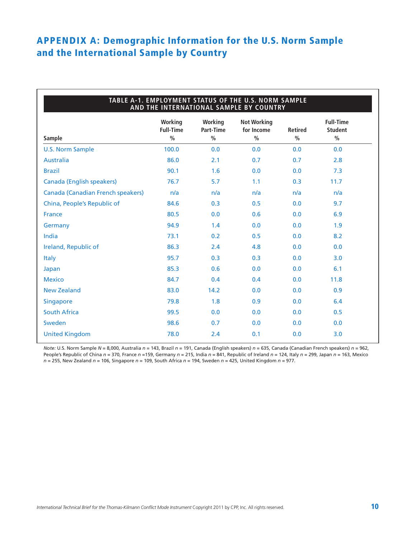# **APPENDIX A: Demographic Information for the U.S. Norm Sample and the International Sample by Country**

| TABLE A-1. EMPLOYMENT STATUS OF THE U.S. NORM SAMPLE<br>AND THE INTERNATIONAL SAMPLE BY COUNTRY |                                              |                                       |                                                   |                                 |                                                     |  |  |  |  |
|-------------------------------------------------------------------------------------------------|----------------------------------------------|---------------------------------------|---------------------------------------------------|---------------------------------|-----------------------------------------------------|--|--|--|--|
| Sample                                                                                          | Working<br><b>Full-Time</b><br>$\frac{0}{0}$ | Working<br>Part-Time<br>$\frac{0}{0}$ | <b>Not Working</b><br>for Income<br>$\frac{0}{0}$ | <b>Retired</b><br>$\frac{0}{0}$ | <b>Full-Time</b><br><b>Student</b><br>$\frac{0}{0}$ |  |  |  |  |
| <b>U.S. Norm Sample</b>                                                                         | 100.0                                        | 0.0                                   | 0.0                                               | 0.0                             | 0.0                                                 |  |  |  |  |
| <b>Australia</b>                                                                                | 86.0                                         | 2.1                                   | 0.7                                               | 0.7                             | 2.8                                                 |  |  |  |  |
| <b>Brazil</b>                                                                                   | 90.1                                         | 1.6                                   | 0.0                                               | 0.0                             | 7.3                                                 |  |  |  |  |
| <b>Canada (English speakers)</b>                                                                | 76.7                                         | 5.7                                   | 1.1                                               | 0.3                             | 11.7                                                |  |  |  |  |
| <b>Canada (Canadian French speakers)</b>                                                        | n/a                                          | n/a                                   | n/a                                               | n/a                             | n/a                                                 |  |  |  |  |
| China, People's Republic of                                                                     | 84.6                                         | 0.3                                   | 0.5                                               | 0.0                             | 9.7                                                 |  |  |  |  |
| <b>France</b>                                                                                   | 80.5                                         | 0.0                                   | 0.6                                               | 0.0                             | 6.9                                                 |  |  |  |  |
| Germany                                                                                         | 94.9                                         | 1.4                                   | 0.0                                               | 0.0                             | 1.9                                                 |  |  |  |  |
| India                                                                                           | 73.1                                         | 0.2                                   | 0.5                                               | 0.0                             | 8.2                                                 |  |  |  |  |
| Ireland, Republic of                                                                            | 86.3                                         | 2.4                                   | 4.8                                               | 0.0                             | 0.0                                                 |  |  |  |  |
| <b>Italy</b>                                                                                    | 95.7                                         | 0.3                                   | 0.3                                               | 0.0                             | 3.0                                                 |  |  |  |  |
| Japan                                                                                           | 85.3                                         | 0.6                                   | 0.0                                               | 0.0                             | 6.1                                                 |  |  |  |  |
| <b>Mexico</b>                                                                                   | 84.7                                         | 0.4                                   | 0.4                                               | 0.0                             | 11.8                                                |  |  |  |  |
| <b>New Zealand</b>                                                                              | 83.0                                         | 14.2                                  | 0.0                                               | 0.0                             | 0.9                                                 |  |  |  |  |
| <b>Singapore</b>                                                                                | 79.8                                         | 1.8                                   | 0.9                                               | 0.0                             | 6.4                                                 |  |  |  |  |
| <b>South Africa</b>                                                                             | 99.5                                         | 0.0                                   | 0.0                                               | 0.0                             | 0.5                                                 |  |  |  |  |
| Sweden                                                                                          | 98.6                                         | 0.7                                   | 0.0                                               | 0.0                             | 0.0                                                 |  |  |  |  |
| <b>United Kingdom</b>                                                                           | 78.0                                         | 2.4                                   | 0.1                                               | 0.0                             | 3.0                                                 |  |  |  |  |

*Note:* U.S. Norm Sample *N* = 8,000, Australia *n* = 143, Brazil *n* = 191, Canada (English speakers) *n* = 635, Canada (Canadian French speakers) *n* = 962, People's Republic of China *n* = 370, France *n* =159, Germany *n* = 215, India *n* = 841, Republic of Ireland *n* = 124, Italy *n* = 299, Japan *n* = 163, Mexico *n* = 255, New Zealand *n* = 106, Singapore *n* = 109, South Africa *n* = 194, Sweden *n* = 425, United Kingdom *n* = 977.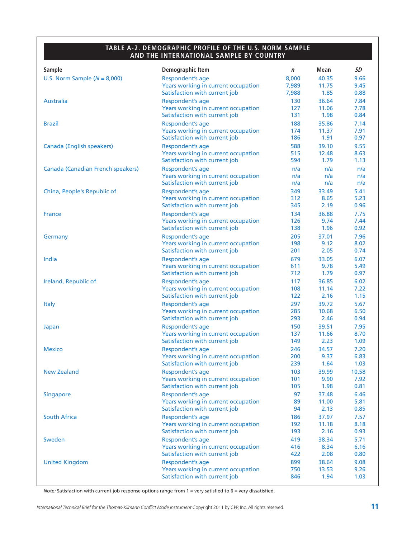#### **TABLE A-2. DEMOGRAPHIC PROFILE OF THE U.S. NORM SAMPLE AND THE INTERNATIONAL SAMPLE BY COUNTRY**

| <b>Sample</b>                     | Demographic Item                    | n     | Mean  | SD    |
|-----------------------------------|-------------------------------------|-------|-------|-------|
| U.S. Norm Sample $(N = 8,000)$    | Respondent's age                    | 8,000 | 40.35 | 9.66  |
|                                   | Years working in current occupation | 7,989 | 11.75 | 9.45  |
|                                   | Satisfaction with current job       | 7,988 | 1.85  | 0.88  |
| <b>Australia</b>                  | Respondent's age                    | 130   | 36.64 | 7.84  |
|                                   | Years working in current occupation | 127   | 11.06 | 7.78  |
|                                   | Satisfaction with current job       | 131   | 1.98  | 0.84  |
| <b>Brazil</b>                     | Respondent's age                    | 188   | 35.86 | 7.14  |
|                                   | Years working in current occupation | 174   | 11.37 | 7.91  |
|                                   | Satisfaction with current job       | 186   | 1.91  | 0.97  |
| Canada (English speakers)         | Respondent's age                    | 588   | 39.10 | 9.55  |
|                                   | Years working in current occupation | 515   | 12.48 | 8.63  |
|                                   | Satisfaction with current job       | 594   | 1.79  | 1.13  |
| Canada (Canadian French speakers) | Respondent's age                    | n/a   | n/a   | n/a   |
|                                   | Years working in current occupation | n/a   | n/a   | n/a   |
|                                   | Satisfaction with current job       | n/a   | n/a   | n/a   |
| China, People's Republic of       | Respondent's age                    | 349   | 33.49 | 5.41  |
|                                   | Years working in current occupation | 312   | 8.65  | 5.23  |
|                                   | Satisfaction with current job       | 345   | 2.19  | 0.96  |
| <b>France</b>                     | Respondent's age                    | 134   | 36.88 | 7.75  |
|                                   | Years working in current occupation | 126   | 9.74  | 7.44  |
|                                   | Satisfaction with current job       | 138   | 1.96  | 0.92  |
| Germany                           | Respondent's age                    | 205   | 37.01 | 7.96  |
|                                   | Years working in current occupation | 198   | 9.12  | 8.02  |
|                                   | Satisfaction with current job       | 201   | 2.05  | 0.74  |
| India                             | Respondent's age                    | 679   | 33.05 | 6.07  |
|                                   | Years working in current occupation | 611   | 9.78  | 5.49  |
|                                   | Satisfaction with current job       | 712   | 1.79  | 0.97  |
| Ireland, Republic of              | Respondent's age                    | 117   | 36.85 | 6.02  |
|                                   | Years working in current occupation | 108   | 11.14 | 7.22  |
|                                   | Satisfaction with current job       | 122   | 2.16  | 1.15  |
| <b>Italy</b>                      | Respondent's age                    | 297   | 39.72 | 5.67  |
|                                   | Years working in current occupation | 285   | 10.68 | 6.50  |
|                                   | Satisfaction with current job       | 293   | 2.46  | 0.94  |
| Japan                             | Respondent's age                    | 150   | 39.51 | 7.95  |
|                                   | Years working in current occupation | 137   | 11.66 | 8.70  |
|                                   | Satisfaction with current job       | 149   | 2.23  | 1.09  |
| <b>Mexico</b>                     | Respondent's age                    | 246   | 34.57 | 7.20  |
|                                   | Years working in current occupation | 200   | 9.37  | 6.83  |
|                                   | Satisfaction with current job       | 239   | 1.64  | 1.03  |
| <b>New Zealand</b>                | Respondent's age                    | 103   | 39.99 | 10.58 |
|                                   | Years working in current occupation | 101   | 9.90  | 7.92  |
|                                   | Satisfaction with current job       | 105   | 1.98  | 0.81  |
| <b>Singapore</b>                  | Respondent's age                    | 97    | 37.48 | 6.46  |
|                                   | Years working in current occupation | 89    | 11.00 | 5.81  |
|                                   | Satisfaction with current job       | 94    | 2.13  | 0.85  |
| <b>South Africa</b>               | Respondent's age                    | 186   | 37.97 | 7.57  |
|                                   | Years working in current occupation | 192   | 11.18 | 8.18  |
|                                   | Satisfaction with current job       | 193   | 2.16  | 0.93  |
| Sweden                            | Respondent's age                    | 419   | 38.34 | 5.71  |
|                                   | Years working in current occupation | 416   | 8.34  | 6.16  |
|                                   | Satisfaction with current job       | 422   | 2.08  | 0.80  |
| <b>United Kingdom</b>             | Respondent's age                    | 899   | 38.64 | 9.08  |
|                                   | Years working in current occupation | 750   | 13.53 | 9.26  |
|                                   | Satisfaction with current job       | 846   | 1.94  | 1.03  |

*Note:* Satisfaction with current job response options range from 1 = very satisfied to 6 = very dissatisfied.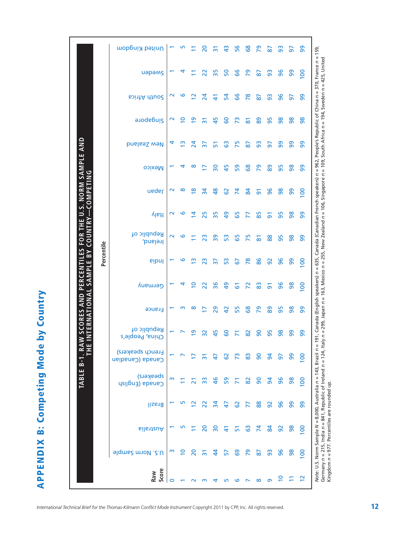**APPENDIX B: Competing Mode by Country APPENDIX B: Competing Mode by Country**

|                                                        |            | United Kingdom                       |                    | 5              | Ξ                       | $\overline{0}$  | $\overline{5}$ | $\frac{3}{4}$   | 56             | အိ                  | 29             | 58             | 3  | 5             | 99                                                                                                                                                                           |
|--------------------------------------------------------|------------|--------------------------------------|--------------------|----------------|-------------------------|-----------------|----------------|-----------------|----------------|---------------------|----------------|----------------|----|---------------|------------------------------------------------------------------------------------------------------------------------------------------------------------------------------|
|                                                        |            | uapams                               |                    | 4              |                         | $\overline{2}$  | 35             | SO <sub>1</sub> | 99             | 29                  | $\overline{8}$ | 93             | 96 | 99            | 91, Canada (English speakers) <i>n</i> = 635, Canada (Canadian French speakers) <i>n</i> = 962, People's Republic of China n = 370, France <i>n</i> = 159,<br>$\overline{0}$ |
|                                                        |            | South Africa                         | $\scriptstyle\sim$ | ဖ              | $\mathbf{\Omega}$       | $\overline{24}$ | $\Delta$       | 54              | 99             | 78                  | 2              | 93             | 96 | 5             | 8                                                                                                                                                                            |
|                                                        |            | <b>a</b> udebuis                     | $\sim$             | $\overline{a}$ | $\overline{6}$          | $\overline{5}$  | 45             | 60              | $\overline{7}$ | $\overline{\infty}$ | 89             | 95             | 86 | 8             | 86                                                                                                                                                                           |
|                                                        |            | <b>Dinable Sealand</b>               | 4                  | ഇ              | 24                      | $\overline{37}$ | 은              | ශී              | 75             | 2                   | 93             | 5              | 99 | 99            | 8                                                                                                                                                                            |
| U.S. NORM SAMPLE AND                                   |            | <b>Mexico</b>                        |                    | 4              | ∞                       | ⊵               | 30             | 45              | 59             | 89                  | 29             | 88             | 95 | $\frac{8}{5}$ | 99                                                                                                                                                                           |
| COMPETING                                              |            | ueder                                | $\scriptstyle\sim$ | ∞              | $\overline{\mathbf{8}}$ | $\overline{a}$  | $\frac{8}{3}$  | 62              | $\mathbf{z}$   | 84                  | 5              | 96             | 98 | 99            | $\overline{8}$                                                                                                                                                               |
| HE                                                     |            | ltaly                                | $\scriptstyle\sim$ | ဖ              | 4                       | 25              | 35             | $\overline{a}$  | 59             |                     | 85             | 5              | 56 | $\frac{8}{5}$ | 99                                                                                                                                                                           |
| <b>COUNTRY</b><br><b>FOR</b>                           |            | Republic of<br>Ireland,              | $\sim$             | ဖ              |                         | 23              | 39             | SS <sub>3</sub> | 65             | 75                  | 5              | 88             | 95 | 86            | 8                                                                                                                                                                            |
| <b>PERCENTILES</b><br>$\mathsf{B}^{\mathsf{Y}}$<br>بىر | Percentile | eibnl                                |                    | ဖ              | m                       | 23              |                | <b>SS</b>       | 67             | $\overline{78}$     | 86             | 92             | 96 | 99            | 8                                                                                                                                                                            |
| SAMPL                                                  |            | Germany                              |                    | ↴              | ≘                       | 22              | 36             | \$              | 5              | 2                   | 83             | 5              | 96 | 86            | $\overline{5}$                                                                                                                                                               |
| <b>INTERNATIONA</b><br>AND                             |            | <b>France</b>                        |                    | m              | ∞                       | Ē               | 29             | $\overline{4}$  | 55             | 89                  | 29             | 89             | 95 | 8             | 99                                                                                                                                                                           |
| W SCORES                                               |            | Republic of<br>China, People's       |                    |                | თ,                      | 32              | 45             | င္စ             |                | 82                  | 8              | 95             | 86 | 90            | ၜၟ                                                                                                                                                                           |
| <u>يہ</u>                                              |            | French speakers)<br>Canada (Canadian |                    |                |                         |                 | ₩              | င္မွ            |                | 83                  | ဓ              | $\overline{5}$ | 5  | 99            | $\overline{5}$                                                                                                                                                               |
| TABLE B-1                                              |            | speakers)<br>Canada (English         |                    |                |                         | 33              | $\frac{1}{6}$  | 59              |                | 82                  | 90             | $\overline{a}$ | 96 | 86            | 8                                                                                                                                                                            |
|                                                        |            | Brazil                               |                    |                | $\mathbf{\sim}$         | $\overline{2}$  | $\overline{a}$ | 47              | 29             | F                   | 88             | 92             | 96 | 99            | Note: U.S. Norm Sample N = 8,000, Australia n = 143, Brazil n =<br>99                                                                                                        |
|                                                        |            | Australia                            |                    |                |                         | 20              | ႙              | 근               | 문              | යි                  | 74             | 84             | 92 | 86            | $\overline{8}$                                                                                                                                                               |
|                                                        |            | <b>J.S. Norm Sample</b>              | m                  | ⊇              | $\overline{20}$         | $\overline{5}$  | \$             | 57              | 69             | 29                  | 5              | 3              | 96 | 86            | $\overline{8}$                                                                                                                                                               |
|                                                        |            | Score<br>Raw                         |                    |                |                         |                 |                |                 | ເດ             |                     | $\infty$       | თ              |    |               | $\mathbf{\sim}$                                                                                                                                                              |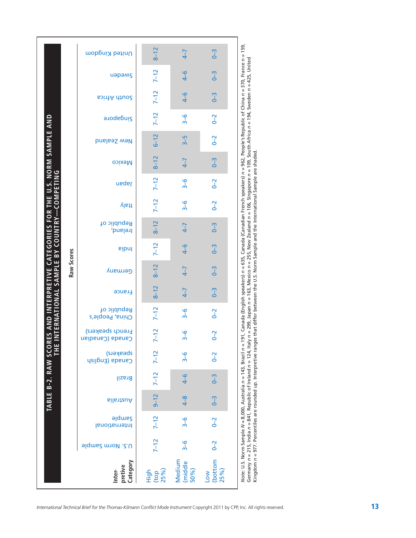|                                                                                                  |            | United Kingdom                        | $8 - 12$               | $4 - 7$                   | $0 - 3$                                            |                                                                                                                                                                    |
|--------------------------------------------------------------------------------------------------|------------|---------------------------------------|------------------------|---------------------------|----------------------------------------------------|--------------------------------------------------------------------------------------------------------------------------------------------------------------------|
|                                                                                                  |            | иәрәмς                                | $7 - 12$               | $4-6$                     | $0 - 3$                                            | 191, Canada (English speakers) <i>n</i> = 635, Canada (Canadian French speakers) <i>n</i> = 962, People's Republic of China <i>n</i> = 370, France <i>n</i> = 159, |
|                                                                                                  |            | <b>South Africa</b>                   | $7 - 12$               | $4-6$                     | $0 - 3$                                            |                                                                                                                                                                    |
|                                                                                                  |            | <b>Singapore</b>                      | $7-12$                 | $3 - 6$                   | $0 - 2$                                            |                                                                                                                                                                    |
|                                                                                                  |            | New Zealand                           | $6 - 12$               | $3-5$                     | $0 - 2$                                            |                                                                                                                                                                    |
|                                                                                                  |            | <b>Mexico</b>                         | $8 - 12$               | $4 - 7$                   | $0 - 3$                                            |                                                                                                                                                                    |
| <b>COMPETING</b>                                                                                 |            | naqal                                 | $7 - 12$               | $3 - 6$                   | $0 - 2$                                            |                                                                                                                                                                    |
|                                                                                                  |            | ltaly                                 | $7 - 12$               | $3 - 6$                   | $0 - 2$                                            |                                                                                                                                                                    |
| RES AND INTERPRETIVE CATEGORIES FOR THE U.S. NORM SAMPLE AND<br>INTERNATIONAL SAMPLE BY COUNTRY- |            | Republic of<br>Ireland,               | $8 - 12$               | $4 - 7$                   | $0 - 3$                                            |                                                                                                                                                                    |
|                                                                                                  |            | <b>lndia</b>                          | $7 - 12$               | $4-6$                     | $0 - 3$                                            |                                                                                                                                                                    |
|                                                                                                  | Raw Scores | Germany                               | $8 - 12$               | $4 - 7$                   | $0 - 3$                                            |                                                                                                                                                                    |
|                                                                                                  |            | France                                | $8 - 12$               | $4 - 7$                   | $0 - 3$                                            |                                                                                                                                                                    |
|                                                                                                  |            | Republic of<br>China, People's        | $7 - 12$               | $3 - 6$                   | $0 - 2$                                            |                                                                                                                                                                    |
|                                                                                                  |            | <b>French speakers)</b><br>Canadianco | $7 - 12$               | <mark>ე</mark><br>ო       | $0 - 2$                                            |                                                                                                                                                                    |
|                                                                                                  |            | speskers)<br>Canada (English          | $7 - 12$               | $\frac{6}{3}$             | $0 - 2$                                            |                                                                                                                                                                    |
| <b>TABLE B-2. RAW SCO</b> I<br>THE                                                               |            | Brazil                                | $7 - 12$               | $4-6$                     | $0 - 3$                                            |                                                                                                                                                                    |
|                                                                                                  |            | <b>GilentauA</b>                      | $9 - 12$               | $4-8$                     | $0 - 3$                                            |                                                                                                                                                                    |
|                                                                                                  |            | <b>Sample</b><br>International        | $7 - 12$               | $3 - 6$                   | $0 - 2$                                            |                                                                                                                                                                    |
|                                                                                                  |            | U.S. Norm Sample                      | $7 - 12$               | $\frac{6}{3}$             | $0 - 2$                                            |                                                                                                                                                                    |
|                                                                                                  |            | Category<br>pretive<br>Inter-         | $High$<br>(top<br>25%) | Medium<br>(middle<br>50%) | $\frac{\text{(bottom}}{\text{25%)}}$<br><b>No7</b> | Note: U.S. Norm Sample N = 8,000, Australia n = 143, Brazil n =                                                                                                    |

Germany *n* = 215, India n = 841, Republic of Ireland n = 124, Italy n = 299, Japan n = 163, Mexico n = 255, New Zealand n = 106, Singapore n = 109, South Africa n = 194, Sweden n = 425, United<br>Kingdom *n* = 977. Percenti Germany n = 215, India n = 841, Republic of Ireland n = 124, Italy n = 299, Japan n = 163, Wexico n = 255, New Zealand n = 106, Singapore n = 109, South Africa n = 194, Sweden n = 425, United Kingdom *n* = 977. Percentiles are rounded up. Interpretive ranges that differ between the U.S. Norm Sample and the International Sample are shaded.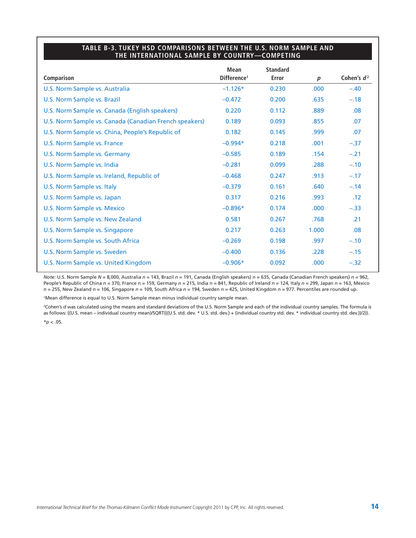#### **TABLE B-3. TUKEY HSD COMPARISONS BETWEEN THE U.S. NORM SAMPLE AND THE INTERNATIONAL SAMPLE BY COUNTRY—COMPETING**

|                                                        | <b>Mean</b>             | <b>Standard</b> |                   |               |
|--------------------------------------------------------|-------------------------|-----------------|-------------------|---------------|
| Comparison                                             | Difference <sup>1</sup> | <b>Error</b>    | $\boldsymbol{p}$  | Cohen's $d^2$ |
| <b>U.S. Norm Sample vs. Australia</b>                  | $-1.126*$               | 0.230           | .000 <sub>1</sub> | $-.40$        |
| U.S. Norm Sample vs. Brazil                            | $-0.472$                | 0.200           | .635              | $-.18$        |
| U.S. Norm Sample vs. Canada (English speakers)         | 0.220                   | 0.112           | .889              | .08           |
| U.S. Norm Sample vs. Canada (Canadian French speakers) | 0.189                   | 0.093           | .855              | .07           |
| U.S. Norm Sample vs. China, People's Republic of       | 0.182                   | 0.145           | .999              | .07           |
| U.S. Norm Sample vs. France                            | $-0.994*$               | 0.218           | .001              | $-.37$        |
| U.S. Norm Sample vs. Germany                           | $-0.585$                | 0.189           | .154              | $-.21$        |
| U.S. Norm Sample vs. India                             | $-0.281$                | 0.099           | .288              | $-.10$        |
| U.S. Norm Sample vs. Ireland, Republic of              | $-0.468$                | 0.247           | .913              | $-.17$        |
| U.S. Norm Sample vs. Italy                             | $-0.379$                | 0.161           | .640              | $-.14$        |
| U.S. Norm Sample vs. Japan                             | 0.317                   | 0.216           | .993              | .12           |
| U.S. Norm Sample vs. Mexico                            | $-0.896*$               | 0.174           | .000              | $-.33$        |
| U.S. Norm Sample vs. New Zealand                       | 0.581                   | 0.267           | .768              | .21           |
| U.S. Norm Sample vs. Singapore                         | 0.217                   | 0.263           | 1.000             | .08           |
| U.S. Norm Sample vs. South Africa                      | $-0.269$                | 0.198           | .997              | $-.10$        |
| U.S. Norm Sample vs. Sweden                            | $-0.400$                | 0.136           | .228              | $-.15$        |
| U.S. Norm Sample vs. United Kingdom                    | $-0.906*$               | 0.092           | .000.             | $-.32$        |

*Note:* U.S. Norm Sample *N* = 8,000, Australia *n* = 143, Brazil *n* = 191, Canada (English speakers) *n* = 635, Canada (Canadian French speakers) *n* = 962, People's Republic of China n = 370, France n = 159, Germany *n* = 215, India n = 841, Republic of Ireland *n* = 124, Italy *n* = 299, Japan *n* = 163, Mexico *n* = 255, New Zealand *n* = 106, Singapore *n* = 109, South Africa *n* = 194, Sweden *n* = 425, United Kingdom *n* = 977. Percentiles are rounded up.

1Mean difference is equal to U.S. Norm Sample mean minus individual country sample mean.

<sup>2</sup>Cohen's *d* was calculated using the means and standard deviations of the U.S. Norm Sample and each of the individual country samples. The formula is as follows: ((U.S. mean – individual country mean)/SQRT(((U.S. std. dev. \* U.S. std. dev.) + (individual country std. dev. \* individual country std. dev.))/2)).  $*$ *p* < .05.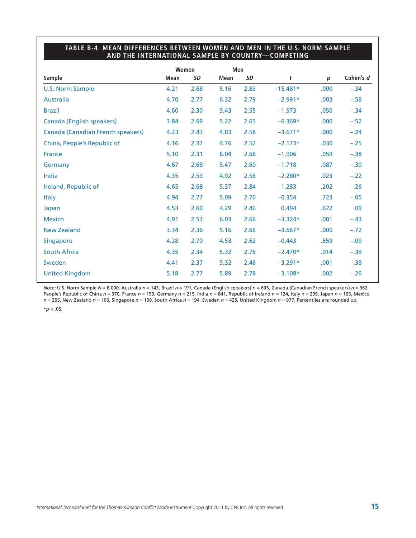### **TABLE B-4. MEAN DIFFERENCES BETWEEN WOMEN AND MEN IN THE U.S. NORM SAMPLE AND THE INTERNATIONAL SAMPLE BY COUNTRY—COMPETING**

|                                   |             | Women     |             | Men       |            |                  |           |
|-----------------------------------|-------------|-----------|-------------|-----------|------------|------------------|-----------|
| <b>Sample</b>                     | <b>Mean</b> | <b>SD</b> | <b>Mean</b> | <b>SD</b> | t          | $\boldsymbol{p}$ | Cohen's d |
| <b>U.S. Norm Sample</b>           | 4.21        | 2.68      | 5.16        | 2.83      | $-15.481*$ | .000             | $-.34$    |
| <b>Australia</b>                  | 4.70        | 2.77      | 6.32        | 2.79      | $-2.991*$  | .003             | $-.58$    |
| <b>Brazil</b>                     | 4.60        | 2.30      | 5.43        | 2.55      | $-1.973$   | .050             | $-.34$    |
| <b>Canada (English speakers)</b>  | 3.84        | 2.69      | 5.22        | 2.65      | $-6.369*$  | .000             | $-.52$    |
| Canada (Canadian French speakers) | 4.23        | 2.43      | 4.83        | 2.58      | $-3.671*$  | .000             | $-.24$    |
| China, People's Republic of       | 4.16        | 2.37      | 4.76        | 2.52      | $-2.173*$  | .030             | $-.25$    |
| France                            | 5.10        | 2.31      | 6.04        | 2.68      | $-1.906$   | .059             | $-.38$    |
| Germany                           | 4.67        | 2.68      | 5.47        | 2.60      | $-1.718$   | .087             | $-.30$    |
| India                             | 4.35        | 2.53      | 4.92        | 2.56      | $-2.280*$  | .023             | $-.22$    |
| Ireland, Republic of              | 4.65        | 2.68      | 5.37        | 2.84      | $-1.283$   | .202             | $-.26$    |
| <b>Italy</b>                      | 4.94        | 2.77      | 5.09        | 2.70      | $-0.354$   | .723             | $-.05$    |
| Japan                             | 4.53        | 2.60      | 4.29        | 2.46      | 0.494      | .622             | .09       |
| <b>Mexico</b>                     | 4.91        | 2.53      | 6.03        | 2.66      | $-3.324*$  | .001             | $-.43$    |
| <b>New Zealand</b>                | 3.34        | 2.36      | 5.16        | 2.66      | $-3.667*$  | .000             | $-.72$    |
| <b>Singapore</b>                  | 4.28        | 2.70      | 4.53        | 2.62      | $-0.443$   | .659             | $-.09$    |
| <b>South Africa</b>               | 4.35        | 2.34      | 5.32        | 2.76      | $-2.470*$  | .014             | $-.38$    |
| Sweden                            | 4.41        | 2.37      | 5.32        | 2.46      | $-3.291*$  | .001             | $-.38$    |
| <b>United Kingdom</b>             | 5.18        | 2.77      | 5.89        | 2.78      | $-3.108*$  | .002             | $-.26$    |

*Note:* U.S. Norm Sample *N* = 8,000, Australia *n* = 143, Brazil *n* = 191, Canada (English speakers) *n* = 635, Canada (Canadian French speakers) *n* = 962, People's Republic of China *n* = 370, France *n* = 159, Germany *n* = 215, India *n* = 841, Republic of Ireland *n* = 124, Italy n = 299, Japan *n* = 163, Mexico *n* = 255, New Zealand *n* = 106, Singapore *n* = 109, South Africa *n* = 194, Sweden *n* = 425, United Kingdom *n* = 977. Percentiles are rounded up.

 $*$ *p* < .05.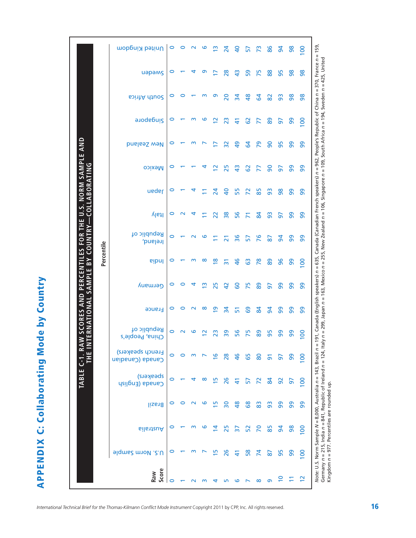**APPENDIX C: Collaborating Mode by Country APPENDIX C: Collaborating Mode by Country**

|                                               |            | United Kingdom                       | $\circ$ | 0                  | $\sim$ | ဖ                  | m                       | 24                       | $\overline{a}$  | 57             | 73              | 86             | $\overline{5}$ | 86 | $\overline{0}$                                                                                                                              |
|-----------------------------------------------|------------|--------------------------------------|---------|--------------------|--------|--------------------|-------------------------|--------------------------|-----------------|----------------|-----------------|----------------|----------------|----|---------------------------------------------------------------------------------------------------------------------------------------------|
|                                               |            | uapams                               | 0       |                    |        | თ                  | ⊵                       | 28                       | $\frac{3}{4}$   | 59             | 75              | 88             | 95             | 8  | 191, Canada (English speakers) n = 635, Canada (Canadian French speakers) n = 962, People's Republic of China n = 370, France n = 159,<br>8 |
|                                               |            | South Africa                         | 0       |                    |        | m                  | თ                       | 20                       | $\frac{1}{2}$   | \$             | 2               | 82             | 93             | 8  | 8                                                                                                                                           |
|                                               |            | <b>a</b> udebuis                     | 0       |                    | m      | ဖ                  | $\simeq$                | $\overline{2}$           | 5               | 29             | F               | 89             | 5              | 99 | $\overline{100}$                                                                                                                            |
|                                               |            | <b>Dinable Sealand</b>               | 0       |                    | m      |                    |                         | $\overline{32}$          | $\overline{a}$  | 2              | 29              | 8              | 95             | 8  | 8                                                                                                                                           |
| NORM SAMPLE AND                               |            | <b>Mexico</b>                        | o       |                    |        |                    | $\overline{\mathbf{C}}$ | 25                       | $\frac{3}{4}$   | 29             | 77              | $\overline{6}$ | 50             | 99 | 99                                                                                                                                          |
| ABORATING                                     |            | ueder                                | 0       |                    |        |                    | 24                      | $\overline{a}$           | 55              | $\overline{2}$ | 85              | 93             | 86             | 99 | 99                                                                                                                                          |
| THE U.S.<br>L1OD                              |            | ltaly                                | 0       |                    |        |                    | 22                      | $\frac{8}{3}$            | 56              | Ξ              | $\overline{a}$  | 3              | 5              | 99 | 99                                                                                                                                          |
| <b>RY</b><br><b>COUNT</b>                     |            | Republic of<br>Ireland,              | 0       |                    |        | అ                  |                         | స                        | 36              | 57             | 76              | $\overline{8}$ | $\overline{5}$ | 8  | 8                                                                                                                                           |
| W SCORES AND PERCENTILES FOR<br>$\mathsf{BY}$ | Percentile | <b>eibnl</b>                         | 0       |                    | m      | $\infty$           | $\frac{8}{1}$           | $\overline{5}$           | $\frac{8}{5}$   | යි             | $\overline{78}$ | 88             | 96             | 99 | $\overline{5}$                                                                                                                              |
| SAMPLE                                        |            | Germany                              | 0       | 0                  |        | m                  | 25                      | $\overline{a}$           | 8               | 75             | 88              | 5              | 99             | 8  | 8                                                                                                                                           |
| TERNATIONAL                                   |            | France                               | 0       | 0                  | $\sim$ | $\infty$           | $\overline{a}$          | $\overline{3}$           | 51              | <b>G</b>       | $\overline{a}$  | $\overline{5}$ | 99             | 99 | 99                                                                                                                                          |
|                                               |            | Republic of<br>China, People's       | 0       | $\scriptstyle\sim$ | ဖ      | $\scriptstyle\sim$ | 23                      | 39                       | 56              | 75             | 89              | 56             | 99             | 99 | 8                                                                                                                                           |
|                                               |            | French speakers)<br>Canada (Canadian | 0       | ⊂                  |        |                    | $\bullet$               | 28                       | 9               | 65             | 80              | వ్             | 5              | 99 | $\overline{100}$                                                                                                                            |
| TABLE C-1                                     |            | speakers)<br>Canada (English         |         |                    |        | ∞                  | 15                      | 26                       | $\Delta$        | 57             | R               | $\mathbf{g}$   | 92             | 5  | $\overline{0}$                                                                                                                              |
|                                               |            | <b>Brazil</b>                        |         |                    |        | ဖ                  | m                       | $\overline{\phantom{0}}$ | $\frac{8}{4}$   | 89             | 83              | 3              | 99             | 99 | Note: U.S. Norm Sample N = 8,000, Australia n = 143, Brazil n =<br>99                                                                       |
|                                               |            | Australia                            |         |                    |        | ဖ                  | ₫                       | 25                       | $\overline{37}$ | 52             | 20              | 85             | $\overline{a}$ | 86 | $\overline{0}$                                                                                                                              |
|                                               |            | <b>Jonna Sample</b>                  | c       |                    |        |                    | m                       | 26                       | 근               | 58             | 74              | 2              | 95             | 99 | $\overline{0}$                                                                                                                              |
|                                               |            | Score<br>Raw                         |         |                    |        |                    |                         |                          |                 |                | ထ               | ത              |                |    | $\mathbf{\mathsf{N}}$                                                                                                                       |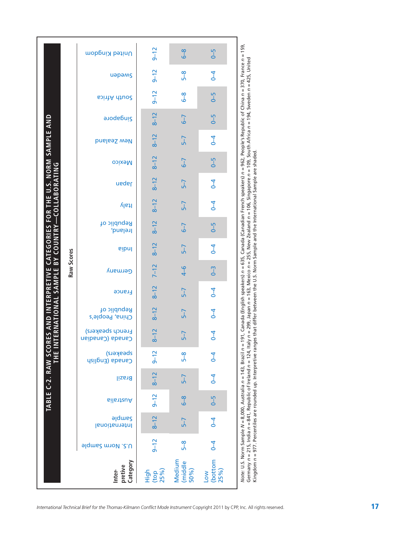|                                                              | United Kingdom                      | $9 - 12$                   | $6 - 8$                | $6 - 5$                       |                                                                                                                                        |
|--------------------------------------------------------------|-------------------------------------|----------------------------|------------------------|-------------------------------|----------------------------------------------------------------------------------------------------------------------------------------|
|                                                              | uapams                              | $9 - 12$                   | $5-8$                  | $\overline{6}$                | 191, Canada (English speakers) n = 635, Canada (Canadian French speakers) n = 962, People's Republic of China n = 370, France n = 159, |
|                                                              | <b>South Africa</b>                 | $9 - 12$                   | $\frac{8}{6}$          | $6 - 5$                       |                                                                                                                                        |
|                                                              | <b>Singapore</b>                    | $8 - 12$                   | $6 - 7$                | $6 - 5$                       |                                                                                                                                        |
|                                                              | New Zealand                         | $8 - 12$                   | $5 - 7$                | $\overline{0}$                |                                                                                                                                        |
| RES AND INTERPRETIVE CATEGORIES FOR THE U.S. NORM SAMPLE AND | <b>Mexico</b>                       | $8 - 12$                   | $6 - 7$                | $6 - 5$                       |                                                                                                                                        |
| COLLABORATING                                                | neqsl                               | $8 - 12$                   | $5 - 7$                | $\overline{4}$                |                                                                                                                                        |
|                                                              | ltaly                               | $8 - 12$                   | $5-7$                  | $\overline{0}$                |                                                                                                                                        |
|                                                              | Republic of<br>Ireland,             | $8 - 12$                   | $6 - 7$                | $6 - 5$                       |                                                                                                                                        |
| <b>COUNTRY</b><br>$\overline{5}$                             | <b>Pipul</b>                        | $8 - 12$                   | $5 - 7$                | $\overline{0}$                |                                                                                                                                        |
| Raw Scores                                                   | Germany                             | $7 - 12$                   | $4-6$                  | $0 - 3$                       |                                                                                                                                        |
|                                                              | France                              | $8 - 12$                   | $5 - 7$                | $\overline{6}$                |                                                                                                                                        |
| TERNATIONAL SAMPLE                                           | Republic of<br>China, People's      | $8 - 12$                   | $5 - 7$                | $\overline{0}$                |                                                                                                                                        |
|                                                              | French speakers)<br>Canada (Canaban | $8 - 12$                   | $5 - 7$                | $\overline{6}$                |                                                                                                                                        |
| M<br>H<br>H<br>H<br>TABLE C-2. RAW SCO                       | speskers)<br>Canada (English        | $9 - 12$                   | $5-8$                  | $\overline{C}$                |                                                                                                                                        |
|                                                              | <b>Brazil</b>                       | $8 - 12$                   | $5 - 7$                | $\overline{4}$                |                                                                                                                                        |
|                                                              | <b>GilatzuA</b>                     | $9 - 12$                   | $6 - 8$                | $6 - 5$                       |                                                                                                                                        |
|                                                              | <b>alqmund</b><br>International     | $8 - 12$                   | $5 - 7$                | $\overline{4}$                |                                                                                                                                        |
|                                                              | U.S. Norm Sample                    | $9 - 12$                   | $5-8$                  | $\overline{6}$                |                                                                                                                                        |
|                                                              | Category<br>pretive<br>Inter-       | $High$<br>$(top$<br>$25%)$ | Medium<br>(middle 50%) | (bottom<br>25%)<br><b>NO7</b> | Note: U.S. Norm Sample N = 8,000, Australia n = 143, Brazil n =                                                                        |

Germany n = 215, India n = 841, Republic of Ireland n = 124, Italy n = 299, Japan n = 163, Mexico n = 255, New Zealand n = 106, Singapore n = 109, South Africa n = 194, Sweden n = 425, United<br>Kingdom n = 977. Percentiles a Germany n = 215, India n = 841, Republic of Ireland n = 124, Italy n = 299, Japan n = 163, Wexico n = 255, New Zealand n = 106, Singapore n = 109, South Africa n = 194, Sweden n = 425, United Kingdom *n* = 977. Percentiles are rounded up. Interpretive ranges that differ between the U.S. Norm Sample and the International Sample are shaded.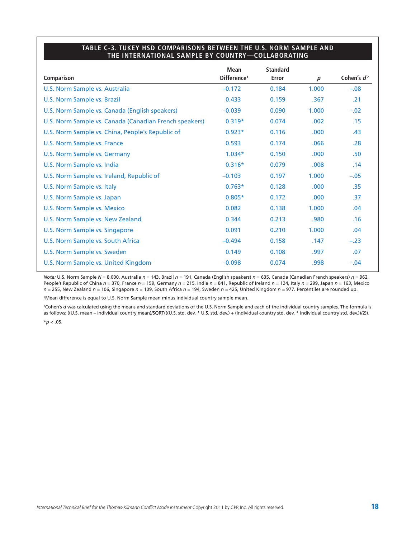#### **TABLE C-3. TUKEY HSD COMPARISONS BETWEEN THE U.S. NORM SAMPLE AND THE INTERNATIONAL SAMPLE BY COUNTRY—COLLABORATING**

|                                                        | <b>Mean</b>             | <b>Standard</b> |                   |                  |
|--------------------------------------------------------|-------------------------|-----------------|-------------------|------------------|
| Comparison                                             | Difference <sup>1</sup> | Error           | $\boldsymbol{p}$  | Cohen's $d^2$    |
| U.S. Norm Sample vs. Australia                         | $-0.172$                | 0.184           | 1.000             | $-.08$           |
| <b>U.S. Norm Sample vs. Brazil</b>                     | 0.433                   | 0.159           | .367              | .21              |
| U.S. Norm Sample vs. Canada (English speakers)         | $-0.039$                | 0.090           | 1.000             | $-.02$           |
| U.S. Norm Sample vs. Canada (Canadian French speakers) | $0.319*$                | 0.074           | .002              | .15              |
| U.S. Norm Sample vs. China, People's Republic of       | $0.923*$                | 0.116           | .000              | .43              |
| U.S. Norm Sample vs. France                            | 0.593                   | 0.174           | .066              | .28              |
| U.S. Norm Sample vs. Germany                           | $1.034*$                | 0.150           | .000              | .50 <sub>1</sub> |
| U.S. Norm Sample vs. India                             | $0.316*$                | 0.079           | .008              | .14              |
| U.S. Norm Sample vs. Ireland, Republic of              | $-0.103$                | 0.197           | 1.000             | $-.05$           |
| U.S. Norm Sample vs. Italy                             | $0.763*$                | 0.128           | .000 <sub>1</sub> | .35              |
| U.S. Norm Sample vs. Japan                             | $0.805*$                | 0.172           | .000              | .37              |
| U.S. Norm Sample vs. Mexico                            | 0.082                   | 0.138           | 1.000             | .04              |
| U.S. Norm Sample vs. New Zealand                       | 0.344                   | 0.213           | .980              | .16              |
| U.S. Norm Sample vs. Singapore                         | 0.091                   | 0.210           | 1.000             | .04              |
| U.S. Norm Sample vs. South Africa                      | $-0.494$                | 0.158           | .147              | $-.23$           |
| U.S. Norm Sample vs. Sweden                            | 0.149                   | 0.108           | .997              | .07              |
| U.S. Norm Sample vs. United Kingdom                    | $-0.098$                | 0.074           | .998              | $-.04$           |

*Note:* U.S. Norm Sample *N* = 8,000, Australia *n* = 143, Brazil *n* = 191, Canada (English speakers) *n* = 635, Canada (Canadian French speakers) *n* = 962, People's Republic of China *n* = 370, France *n* = 159, Germany *n* = 215, India *n* = 841, Republic of Ireland *n* = 124, Italy *n* = 299, Japan *n* = 163, Mexico *n* = 255, New Zealand *n* = 106, Singapore *n* = 109, South Africa *n* = 194, Sweden *n* = 425, United Kingdom *n* = 977. Percentiles are rounded up.

1Mean difference is equal to U.S. Norm Sample mean minus individual country sample mean.

<sup>2</sup>Cohen's *d* was calculated using the means and standard deviations of the U.S. Norm Sample and each of the individual country samples. The formula is as follows: ((U.S. mean – individual country mean)/SQRT(((U.S. std. dev. \* U.S. std. dev.) + (individual country std. dev. \* individual country std. dev.))/2)).  $*$ *p* < .05.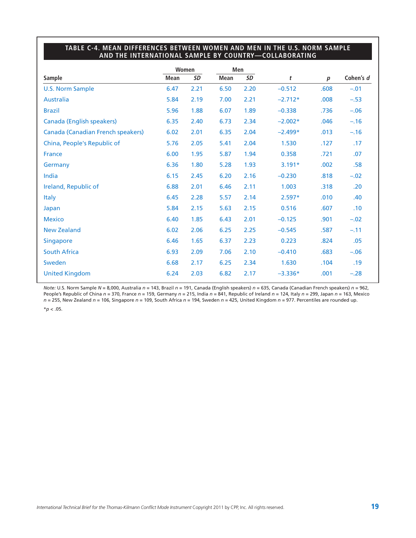## **TABLE C-4. MEAN DIFFERENCES BETWEEN WOMEN AND MEN IN THE U.S. NORM SAMPLE AND THE INTERNATIONAL SAMPLE BY COUNTRY—COLLABORATING**

|                                   |             | Women     | Men         |           |           |                  |           |
|-----------------------------------|-------------|-----------|-------------|-----------|-----------|------------------|-----------|
| <b>Sample</b>                     | <b>Mean</b> | <b>SD</b> | <b>Mean</b> | <b>SD</b> | t         | $\boldsymbol{p}$ | Cohen's d |
| <b>U.S. Norm Sample</b>           | 6.47        | 2.21      | 6.50        | 2.20      | $-0.512$  | .608             | $-.01$    |
| <b>Australia</b>                  | 5.84        | 2.19      | 7.00        | 2.21      | $-2.712*$ | .008             | $-.53$    |
| <b>Brazil</b>                     | 5.96        | 1.88      | 6.07        | 1.89      | $-0.338$  | .736             | $-.06$    |
| <b>Canada (English speakers)</b>  | 6.35        | 2.40      | 6.73        | 2.34      | $-2.002*$ | .046             | $-.16$    |
| Canada (Canadian French speakers) | 6.02        | 2.01      | 6.35        | 2.04      | $-2.499*$ | .013             | $-.16$    |
| China, People's Republic of       | 5.76        | 2.05      | 5.41        | 2.04      | 1.530     | .127             | .17       |
| France                            | 6.00        | 1.95      | 5.87        | 1.94      | 0.358     | .721             | .07       |
| Germany                           | 6.36        | 1.80      | 5.28        | 1.93      | $3.191*$  | .002             | .58       |
| India                             | 6.15        | 2.45      | 6.20        | 2.16      | $-0.230$  | .818             | $-.02$    |
| Ireland, Republic of              | 6.88        | 2.01      | 6.46        | 2.11      | 1.003     | .318             | .20       |
| <b>Italy</b>                      | 6.45        | 2.28      | 5.57        | 2.14      | $2.597*$  | .010             | .40       |
| Japan                             | 5.84        | 2.15      | 5.63        | 2.15      | 0.516     | .607             | .10       |
| <b>Mexico</b>                     | 6.40        | 1.85      | 6.43        | 2.01      | $-0.125$  | .901             | $-.02$    |
| <b>New Zealand</b>                | 6.02        | 2.06      | 6.25        | 2.25      | $-0.545$  | .587             | $-.11$    |
| <b>Singapore</b>                  | 6.46        | 1.65      | 6.37        | 2.23      | 0.223     | .824             | .05       |
| <b>South Africa</b>               | 6.93        | 2.09      | 7.06        | 2.10      | $-0.410$  | .683             | $-.06$    |
| Sweden                            | 6.68        | 2.17      | 6.25        | 2.34      | 1.630     | .104             | .19       |
| <b>United Kingdom</b>             | 6.24        | 2.03      | 6.82        | 2.17      | $-3.336*$ | .001             | $-.28$    |

*Note:* U.S. Norm Sample *N* = 8,000, Australia *n* = 143, Brazil *n* = 191, Canada (English speakers) *n* = 635, Canada (Canadian French speakers) *n* = 962, People's Republic of China *n* = 370, France *n* = 159, Germany *n* = 215, India *n* = 841, Republic of Ireland *n* = 124, Italy *n* = 299, Japan *n* = 163, Mexico *n* = 255, New Zealand *n* = 106, Singapore *n* = 109, South Africa *n* = 194, Sweden *n* = 425, United Kingdom *n* = 977. Percentiles are rounded up.

 $*$ *p* < .05.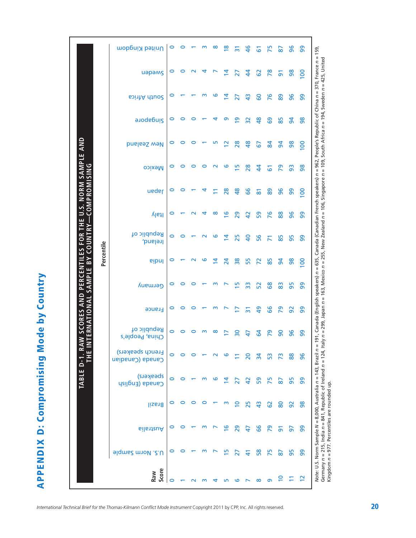**APPENDIX D: Compromising Mode by Country APPENDIX D: Compromising Mode by Country**

|                                                       |            | United Kingdom                       | $\circ$ | $\circ$ | $\overline{\phantom{0}}$ | $\sim$ | ∞                        | $\frac{8}{1}$  | $\overline{3}$  | $\frac{4}{6}$  | 5                   | 75             | 87             | 96              | 99                                                                   |
|-------------------------------------------------------|------------|--------------------------------------|---------|---------|--------------------------|--------|--------------------------|----------------|-----------------|----------------|---------------------|----------------|----------------|-----------------|----------------------------------------------------------------------|
|                                                       |            | uapams                               | 0       | 0       | $\sim$                   | 4      | $\overline{\phantom{0}}$ | 4              | 27              | $\frac{4}{3}$  | 3                   | 78             | $\overline{5}$ | 98              | $\overline{5}$                                                       |
|                                                       |            | South Africa                         | 0       |         |                          |        | ဖ                        | 4              | 27              | \$             | 60                  | 76             | 89             | 96              | ႙ၟ                                                                   |
|                                                       |            | <b>Singapore</b>                     | 0       |         |                          |        |                          | െ              | $\overline{6}$  | 32             | $\frac{8}{2}$       | 89             | 85             | $\overline{a}$  | 86                                                                   |
|                                                       |            | <b>pueless well</b>                  | 0       |         |                          |        |                          | $\overline{2}$ | 28              | \$             | 67                  | $\overline{a}$ | $\overline{5}$ | 86              | $\overline{100}$                                                     |
| U.S. NORM SAMPLE AND                                  |            | <b>Nexico</b>                        | 0       | 0       |                          | ⊂      | $\scriptstyle\sim$       | ဖ              | $\overline{5}$  | 28             | $\ddot{4}$          | 51             | 29             | 93              | $\frac{8}{5}$                                                        |
| COMPROMISING                                          |            | ueder                                | 0       | 0       |                          |        |                          | 28             | $\frac{8}{3}$   | 99             | $\overline{\infty}$ | 89             | 96             | 99              | $\overline{5}$                                                       |
| HE                                                    |            | ltaly                                | 0       |         |                          |        | ∞                        | $\overline{9}$ | 29              | $\overline{4}$ | 59                  | 76             | 88             | 96              | 99                                                                   |
| R٢<br><b>COUNT</b><br><b>FOR</b>                      |            | Republic of<br>Ireland,              | 0       | 0       |                          |        | ဖ                        | 4              | 25              | $\overline{a}$ | 56                  |                | 85             | 95              | 8                                                                    |
| W SCORES AND PERCENTILES<br>$\mathsf{B}^{\mathsf{Y}}$ | Percentile | <b>eibnl</b>                         | 0       |         |                          | ဖ      | $\overline{4}$           | 24             | 38              | 55             | 72                  | 85             | $\overline{5}$ | 98              | $\overline{8}$                                                       |
| SAMPLE                                                |            | Germany                              | 0       | 0       | 0                        |        | m                        |                | Ю               | ဣ              | 52                  | 89             | 83             | 95              | 8                                                                    |
| TERNATIONAL                                           |            | <b>France</b>                        | 0       | 0       | 0                        |        | m                        | ↖              | Þ               | $\overline{3}$ | $\frac{6}{4}$       | 99             | 29             | 92              | 99                                                                   |
|                                                       |            | Republic of<br>China, People's       | $\circ$ |         |                          | m      | ∞                        |                | $\overline{30}$ | 47             | 54                  | 29             | 90             | 96              | ၅                                                                    |
| ضح                                                    |            | French speakers)<br>Canada (Canadian | $\circ$ |         |                          |        |                          |                |                 | 20             | $\overline{a}$      | S3             | 73             | 88              | 96                                                                   |
| TABLE D-1                                             |            | speakers)<br>Canada (English         | 0       | ⊂       |                          |        | ڡ                        | 2              | 21              | $\overline{a}$ | 59                  | 75             | 2              | 95              | Note: U.S. Norm Sample N = 8,000, Australia n = 143, Brazil n =<br>8 |
|                                                       |            | Brazil                               | 0       |         |                          |        |                          | ՠ              | ≗               | 25             | $\frac{3}{4}$       | 29             | 80             | $\overline{92}$ | 98                                                                   |
|                                                       |            | Australia                            |         |         |                          |        |                          | ڡۣ             | 29              | 47             | 99                  | 29             | వ్             | 50              | 99                                                                   |
|                                                       |            | 9lqms2 m10V.2.U                      | 0       |         |                          |        |                          | m              |                 | Э              | 58                  | 75             | $\overline{8}$ | 95              | 8                                                                    |
|                                                       |            | Score<br>Raw                         |         |         |                          |        |                          |                |                 |                | ထ                   | ത              | $\circ$        |                 | $\mathbf{\Omega}$                                                    |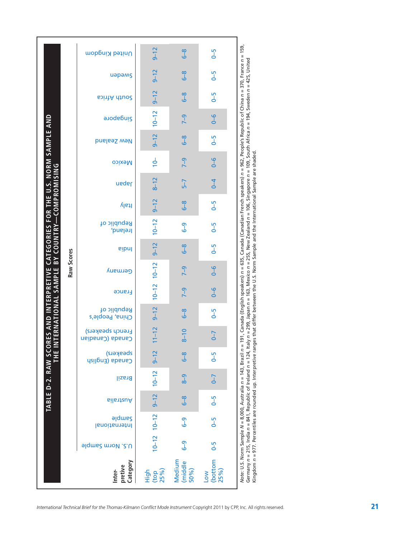|                                                              |            | <b>Singapore</b>                | $9 - 12$<br>$10 - 12$     | $6 - 8$<br>$7 - 9$        | $6 - 5$<br>$\frac{6}{6}$ | 191, Canada (English speakers) n = 635, Canada (Canadian French speakers) n = 962, People's Republic of China n = 370, France n = 159,<br>ly n = 299, Japan n = 163, Mexico n = 255, New Zealand n = 106, Singapore n = 109, South Africa n = 194, Sweden n = 425, United                |
|--------------------------------------------------------------|------------|---------------------------------|---------------------------|---------------------------|--------------------------|------------------------------------------------------------------------------------------------------------------------------------------------------------------------------------------------------------------------------------------------------------------------------------------|
|                                                              |            | New Zealand                     | $9 - 12$                  | $6-8$                     | $6 - 5$                  |                                                                                                                                                                                                                                                                                          |
|                                                              |            | <b>Mexico</b>                   | $\frac{1}{2}$             | $7-9$                     | $\frac{6}{6}$            |                                                                                                                                                                                                                                                                                          |
|                                                              |            | neqsl                           | $8 - 12$                  | $5-7$                     | $\overline{6}$           |                                                                                                                                                                                                                                                                                          |
| -COMPROMISING                                                |            | ltaly                           | $9 - 12$                  | $\frac{8}{6}$             | $6 - 5$                  |                                                                                                                                                                                                                                                                                          |
| CATEGORIES FOR THE U.S. NORM SAMPLE AND                      |            | Republic of<br>Ireland,         | $10 - 12$                 | $6 - 9$                   | $6 - 5$                  |                                                                                                                                                                                                                                                                                          |
|                                                              |            | pibnl                           | $9 - 12$                  | $6 - 8$                   | $6 - 5$                  |                                                                                                                                                                                                                                                                                          |
|                                                              | Raw Scores | Germany                         | $10-12$ $10-12$           | $7-9$                     | $6 - 6$                  |                                                                                                                                                                                                                                                                                          |
|                                                              |            | France                          |                           | $7-9$                     | $\frac{6}{6}$            |                                                                                                                                                                                                                                                                                          |
| <b>TERNATIONAL SAMPLE BY COUNTRY</b><br>RES AND INTERPRETIVE |            | Republic of<br>China, People's  | $9 - 12$                  | $6-8$                     | $6 - 5$                  |                                                                                                                                                                                                                                                                                          |
|                                                              |            | French speakers)<br>Canadianco  | $11 - 12$                 | $8 - 10$                  | $\sqrt{-7}$              |                                                                                                                                                                                                                                                                                          |
| <b>NHE IHE</b>                                               |            | speskers)<br>Canada (English    | $9 - 12$                  | $\frac{8}{6}$             | $6 - 5$                  |                                                                                                                                                                                                                                                                                          |
| TABLE D-2. RAW SCO                                           |            | <b>Brazil</b>                   | $10 - 12$                 | $8-9$                     | $\sqrt{-7}$              |                                                                                                                                                                                                                                                                                          |
|                                                              |            | Australia                       | $9 - 12$                  | $6 - 8$                   | $0 - 5$                  |                                                                                                                                                                                                                                                                                          |
|                                                              |            | <b>alqmund</b><br>International | $10-12$ $10-12$           | $\overline{6}$ -9         | $\overline{5}$           |                                                                                                                                                                                                                                                                                          |
|                                                              |            | <b>J.S. Norm Sample</b>         |                           | $\overline{6}$ -9         | $6 - 5$                  |                                                                                                                                                                                                                                                                                          |
|                                                              |            | Category<br>pretive<br>Inter-   | $_{25\%}^{(top)}$<br>High | Medium<br>(middle<br>50%) | (bottom<br>25%)<br>Low   | Kingdom n = 977. Percentiles are rounded up. Interpretive ranges that differ between the U.S. Norm Sample and the International Sample are shaded<br>Germany n = 215, India n = 841, Republic of Ireland n = 124, Ita<br>Note: U.S. Norm Sample N = 8,000, Australia n = 143, Brazil n = |

International Technical Brief for the Thomas-Kilmann Conflict Mode Instrument Copyright 2011 by CPP, Inc. All rights reserved.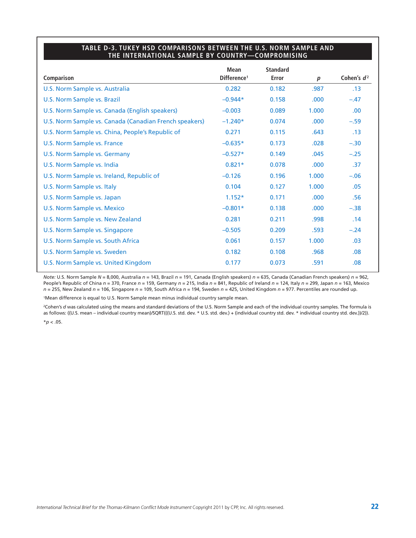#### **TABLE D-3. TUKEY HSD COMPARISONS BETWEEN THE U.S. NORM SAMPLE AND THE INTERNATIONAL SAMPLE BY COUNTRY—COMPROMISING**

|                                                        | <b>Mean</b>             | <b>Standard</b> |                   |               |
|--------------------------------------------------------|-------------------------|-----------------|-------------------|---------------|
| Comparison                                             | Difference <sup>1</sup> | <b>Error</b>    | $\boldsymbol{p}$  | Cohen's $d^2$ |
| U.S. Norm Sample vs. Australia                         | 0.282                   | 0.182           | .987              | .13           |
| U.S. Norm Sample vs. Brazil                            | $-0.944*$               | 0.158           | .000              | $-.47$        |
| U.S. Norm Sample vs. Canada (English speakers)         | $-0.003$                | 0.089           | 1.000             | .00.          |
| U.S. Norm Sample vs. Canada (Canadian French speakers) | $-1.240*$               | 0.074           | .000              | $-.59$        |
| U.S. Norm Sample vs. China, People's Republic of       | 0.271                   | 0.115           | .643              | .13           |
| U.S. Norm Sample vs. France                            | $-0.635*$               | 0.173           | .028              | $-.30$        |
| U.S. Norm Sample vs. Germany                           | $-0.527*$               | 0.149           | .045              | $-.25$        |
| U.S. Norm Sample vs. India                             | $0.821*$                | 0.078           | .000 <sub>1</sub> | .37           |
| U.S. Norm Sample vs. Ireland, Republic of              | $-0.126$                | 0.196           | 1.000             | $-.06$        |
| U.S. Norm Sample vs. Italy                             | 0.104                   | 0.127           | 1.000             | .05           |
| U.S. Norm Sample vs. Japan                             | $1.152*$                | 0.171           | .000              | .56           |
| U.S. Norm Sample vs. Mexico                            | $-0.801*$               | 0.138           | .000              | $-.38$        |
| U.S. Norm Sample vs. New Zealand                       | 0.281                   | 0.211           | .998              | .14           |
| U.S. Norm Sample vs. Singapore                         | $-0.505$                | 0.209           | .593              | $-.24$        |
| U.S. Norm Sample vs. South Africa                      | 0.061                   | 0.157           | 1.000             | .03           |
| U.S. Norm Sample vs. Sweden                            | 0.182                   | 0.108           | .968              | .08           |
| U.S. Norm Sample vs. United Kingdom                    | 0.177                   | 0.073           | .591              | .08           |

*Note:* U.S. Norm Sample *N* = 8,000, Australia *n* = 143, Brazil *n* = 191, Canada (English speakers) *n* = 635, Canada (Canadian French speakers) *n* = 962, People's Republic of China *n* = 370, France *n* = 159, Germany *n* = 215, India *n* = 841, Republic of Ireland *n* = 124, Italy *n* = 299, Japan *n* = 163, Mexico *n* = 255, New Zealand *n* = 106, Singapore *n* = 109, South Africa *n* = 194, Sweden *n* = 425, United Kingdom *n* = 977. Percentiles are rounded up.

1Mean difference is equal to U.S. Norm Sample mean minus individual country sample mean.

<sup>2</sup>Cohen's *d* was calculated using the means and standard deviations of the U.S. Norm Sample and each of the individual country samples. The formula is as follows: ((U.S. mean – individual country mean)/SQRT(((U.S. std. dev. \* U.S. std. dev.) + (individual country std. dev. \* individual country std. dev.))/2)). \**p* < .05.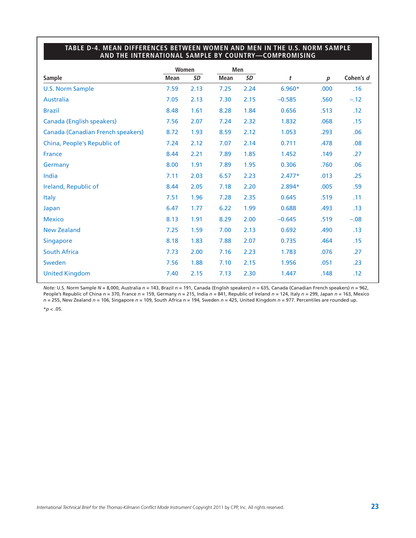## **TABLE D-4. MEAN DIFFERENCES BETWEEN WOMEN AND MEN IN THE U.S. NORM SAMPLE AND THE INTERNATIONAL SAMPLE BY COUNTRY—COMPROMISING**

|                                   |             | Women     |      | Men       |          |                  |           |
|-----------------------------------|-------------|-----------|------|-----------|----------|------------------|-----------|
| <b>Sample</b>                     | <b>Mean</b> | <b>SD</b> | Mean | <b>SD</b> | t        | $\boldsymbol{p}$ | Cohen's d |
| <b>U.S. Norm Sample</b>           | 7.59        | 2.13      | 7.25 | 2.24      | $6.960*$ | .000             | .16       |
| <b>Australia</b>                  | 7.05        | 2.13      | 7.30 | 2.15      | $-0.585$ | .560             | $-.12$    |
| <b>Brazil</b>                     | 8.48        | 1.61      | 8.28 | 1.84      | 0.656    | .513             | .12       |
| <b>Canada (English speakers)</b>  | 7.56        | 2.07      | 7.24 | 2.32      | 1.832    | .068             | .15       |
| Canada (Canadian French speakers) | 8.72        | 1.93      | 8.59 | 2.12      | 1.053    | .293             | .06       |
| China, People's Republic of       | 7.24        | 2.12      | 7.07 | 2.14      | 0.711    | .478             | .08       |
| <b>France</b>                     | 8.44        | 2.21      | 7.89 | 1.85      | 1.452    | .149             | .27       |
| Germany                           | 8.00        | 1.91      | 7.89 | 1.95      | 0.306    | .760             | .06       |
| India                             | 7.11        | 2.03      | 6.57 | 2.23      | $2.477*$ | .013             | .25       |
| Ireland, Republic of              | 8.44        | 2.05      | 7.18 | 2.20      | 2.894*   | .005             | .59       |
| <b>Italy</b>                      | 7.51        | 1.96      | 7.28 | 2.35      | 0.645    | .519             | .11       |
| Japan                             | 6.47        | 1.77      | 6.22 | 1.99      | 0.688    | .493             | .13       |
| <b>Mexico</b>                     | 8.13        | 1.91      | 8.29 | 2.00      | $-0.645$ | .519             | $-.08$    |
| <b>New Zealand</b>                | 7.25        | 1.59      | 7.00 | 2.13      | 0.692    | .490             | .13       |
| <b>Singapore</b>                  | 8.18        | 1.83      | 7.88 | 2.07      | 0.735    | .464             | .15       |
| <b>South Africa</b>               | 7.73        | 2.00      | 7.16 | 2.23      | 1.783    | .076             | .27       |
| Sweden                            | 7.56        | 1.88      | 7.10 | 2.15      | 1.956    | .051             | .23       |
| <b>United Kingdom</b>             | 7.40        | 2.15      | 7.13 | 2.30      | 1.447    | .148             | .12       |

*Note:* U.S. Norm Sample *N* = 8,000, Australia *n* = 143, Brazil *n* = 191, Canada (English speakers) *n* = 635, Canada (Canadian French speakers) *n* = 962, People's Republic of China *n* = 370, France *n* = 159, Germany *n* = 215, India *n* = 841, Republic of Ireland *n* = 124, Italy *n* = 299, Japan *n* = 163, Mexico *n* = 255, New Zealand *n* = 106, Singapore *n* = 109, South Africa *n* = 194, Sweden *n* = 425, United Kingdom *n* = 977. Percentiles are rounded up.  $*$ *p* < .05.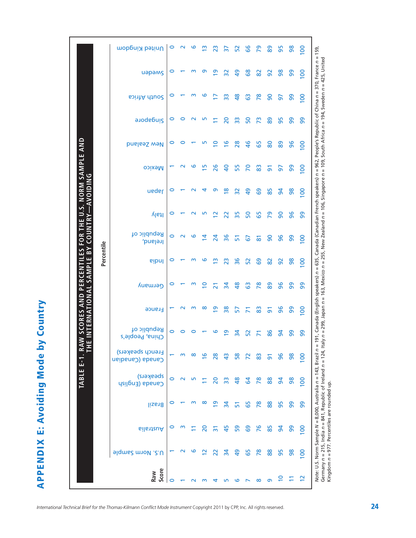**APPENDIX E: Avoiding Mode by Country APPENDIX E: Avoiding Mode by Country**

|                                             |            | United Kingdom                 | 0 | $\mathbf{\sim}$         | ဖ       | $\mathbf{\underline{\omega}}$ | 23              | 57             | 52              | 99            | 29                  | 89             | 95             | 86 | $\overline{0}$                                                                                                                                          |
|---------------------------------------------|------------|--------------------------------|---|-------------------------|---------|-------------------------------|-----------------|----------------|-----------------|---------------|---------------------|----------------|----------------|----|---------------------------------------------------------------------------------------------------------------------------------------------------------|
|                                             |            | uapams                         | 0 |                         | m       | თ                             | $\overline{6}$  | 32             | ဍ               | 89            | 82                  | 92             | 86             | 8  | 91, Canada (English speakers) n = 635, Canada (Canadian French speakers) n = 962, People's Republic of China n = 370, France n = 159,<br>$\overline{0}$ |
|                                             |            | South Africa                   | o |                         | ՠ       | ဖ                             |                 | ဣ              | \$              | යි            | $\overline{78}$     | 8              | 5              | 8  | 8                                                                                                                                                       |
|                                             |            | <b>Singapore</b>               | 0 | ⊂                       |         | m                             | Ξ               | 20             | 33              | 50            | 73                  | 88             | 95             | 8  | ႙ၟ                                                                                                                                                      |
|                                             |            | <b>Dinable Sealand</b>         |   |                         |         | ഥ                             | 2               | $\overline{9}$ | 28              | $\frac{1}{6}$ | 65                  | 80             | 89             | 96 | $\overline{100}$                                                                                                                                        |
|                                             |            | <b>Mexico</b>                  |   |                         | ဖ       | m                             | 26              | $\overline{a}$ | 55              | 20            | 83                  | $\overline{5}$ | 57             | 99 | S                                                                                                                                                       |
| THE U.S. NORM SAMPLE AND<br><b>AVOIDING</b> |            | ueder                          | 0 |                         |         | 4                             | თ               | $\frac{8}{1}$  | $\overline{32}$ | $\frac{6}{7}$ | 69                  | 85             | $\overline{5}$ | 98 | $\overline{0}$                                                                                                                                          |
|                                             |            | ltaly                          |   |                         |         | m                             | $\mathbf{\sim}$ | 22             | 35              | 50            | 59                  | 29             | 90             | 96 | ၜၟ                                                                                                                                                      |
| <b>COUNTRY</b><br><b>FOR</b>                |            | Republic of<br>Ireland,        | 0 | $\mathsf{N}$            | $\circ$ | $\overline{4}$                | 24              | 36             | 5               | 67            | $\overline{\infty}$ | 90             | 96             | 8  | $\overline{0}$                                                                                                                                          |
| BY<br>SCORES AND PERCENTILES<br>SAMPLE      | Percentile | <b>eibnl</b>                   | 0 |                         | m       | ဖ                             | m               | $\overline{2}$ | 36              | 52            | 89                  | 82             | 92             | 86 | $\overline{0}$                                                                                                                                          |
|                                             |            | Germany                        | 0 |                         | m       | $\overline{C}$                | ಸ               | $\frac{1}{2}$  | $\frac{8}{2}$   | යි            | $\overline{78}$     | 88             | 96             | 8  | 8                                                                                                                                                       |
| INTERNATIONAL                               |            | <b>France</b>                  |   |                         | m       | ∞                             | <u>ღ</u>        | $\frac{8}{3}$  | 57              |               | 83                  | $\overline{5}$ | 96             | 99 | S                                                                                                                                                       |
| $\geq$                                      |            | Republic of<br>China, People's | 0 |                         |         |                               | ဖ               | თ              | $\frac{3}{4}$   | 52            |                     | 86             | $\overline{5}$ | ႙ၟ | 99                                                                                                                                                      |
| . RA                                        |            | French speakers)<br>Canadianco |   | m                       | ထ       | $\overline{9}$                | 28              | $\frac{3}{4}$  | 58              |               | 83                  | <u>ნ</u>       | 96             | 86 | $\overline{0}$                                                                                                                                          |
| TABLE E-1                                   |            | speakers)<br>Canada (English   | 0 | $\overline{\mathsf{N}}$ | m       |                               | 20              | ဣ              | $\frac{8}{4}$   | 2             | $\overline{78}$     | 88             | $\overline{5}$ | 86 | $\overline{0}$                                                                                                                                          |
|                                             |            | <b>Brazil</b>                  |   |                         |         | ∞                             | ₾               | $\overline{a}$ | 51              | 59            | $\overline{78}$     | 88             | 95             | 99 | Note: U.S. Norm Sample N = 8,000, Australia n = 143, Brazil n =<br>99                                                                                   |
|                                             |            | Australia                      |   |                         |         | 20                            | గ్              | 45             | 59              | 89            | 76                  | 85             | $\overline{a}$ | 99 | $\overline{0}$                                                                                                                                          |
|                                             |            | <b>J.S. Norm Sample</b>        |   |                         | అ       | $\mathbf{\sim}$               | 22              | 34             | \$              | 65            | $\overline{78}$     | 88             | 95             | 86 | $\overline{8}$                                                                                                                                          |
|                                             |            | Score<br>Raw                   |   |                         |         |                               |                 |                |                 |               | ထ                   | ത              |                |    |                                                                                                                                                         |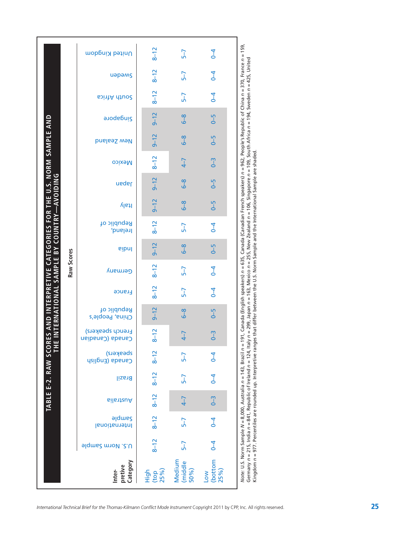|                                                                                | United Kingdom                              | $8 - 12$                      | $5-7$                     | $\overline{6}$                |                                                                                                                                                                    |
|--------------------------------------------------------------------------------|---------------------------------------------|-------------------------------|---------------------------|-------------------------------|--------------------------------------------------------------------------------------------------------------------------------------------------------------------|
|                                                                                | uapams                                      | $8 - 12$                      | $5 - 7$                   | $\overline{4}$                |                                                                                                                                                                    |
|                                                                                | <b>South Africa</b>                         | $8 - 12$                      | $5-7$                     | $\overline{6}$                |                                                                                                                                                                    |
|                                                                                | <b>Singapore</b>                            | $9 - 12$                      | $6 - 8$                   | $6 - 5$                       |                                                                                                                                                                    |
|                                                                                | New Zealand                                 | $9 - 12$                      | $6 - 8$                   | $6 - 5$                       |                                                                                                                                                                    |
|                                                                                | <b>Mexico</b>                               | $8 - 12$                      | $4 - 7$                   | $0 - 3$                       |                                                                                                                                                                    |
| <b>AVOIDING</b>                                                                | neqal                                       | $9 - 12$                      | $6 - 8$                   | $6 - 5$                       |                                                                                                                                                                    |
|                                                                                | ltaly                                       | $9 - 12$                      | $6 - 8$                   | $6 - 5$                       |                                                                                                                                                                    |
| INTERNATIONAL SAMPLE BY COUNTRY-                                               | Republic of<br>Ireland,                     | $8 - 12$                      | $5 - 7$                   | $6 - 4$                       | 191, Canada (English speakers) <i>n</i> = 635, Canada (Canadian French speakers) <i>n</i> = 962, People's Republic of China <i>n</i> = 370, France <i>n</i> = 159, |
|                                                                                | <b>Pipul</b>                                | $9 - 12$                      | $6 - 8$                   | $0 - 5$                       |                                                                                                                                                                    |
| Raw Scores                                                                     | Germany                                     | $8 - 12$                      | $5-7$                     | $\overline{6}$                |                                                                                                                                                                    |
|                                                                                | <b>France</b>                               | $8 - 12$                      | $5-7$                     | $\overline{4}$                |                                                                                                                                                                    |
|                                                                                | Republic of<br>China, People's              | $9 - 12$                      | $6 - 8$                   | $6 - 5$                       |                                                                                                                                                                    |
|                                                                                | <b>French speakers)</b><br>Canada (Canabian | $8 - 12$                      | $4 - 7$                   | $0 - 3$                       |                                                                                                                                                                    |
| Ë                                                                              | speskers)<br>Canada (English                | $8 - 12$                      | $5 - 7$                   | $\overline{4}$                |                                                                                                                                                                    |
| TABLE E-2. RAW SCORES AND INTERPRETIVE CATEGORIES FOR THE U.S. NORM SAMPLE AND | Brazil                                      | $8 - 12$                      | $5-7$                     | $\overline{4}$                |                                                                                                                                                                    |
|                                                                                | <b>GilantauA</b>                            | $8 - 12$                      | $4 - 7$                   | $0 - 3$                       |                                                                                                                                                                    |
|                                                                                | <b>aldmes</b><br>International              | $8 - 12$                      | $5-7$                     | $\overline{6}$                |                                                                                                                                                                    |
|                                                                                | U.S. Norm Sample                            | $8 - 12$                      | $5-7$                     | $\overline{4}$                |                                                                                                                                                                    |
|                                                                                | Category<br>pretive<br>Inter-               | $(\text{top}$<br>25%)<br>High | Medium<br>(middle<br>50%) | (bottom<br>25%)<br><b>NO7</b> | Note: U.S. Norm Sample N = 8,000, Australia n = 143, Brazil n =                                                                                                    |

425, United Germany n = 215, India n = 841, Republic of Ireland n = 124, Italy n = 299, Japan n = 163, Mexico n = 255, New Zealand n = 106, Singapore n = 109, South Africa n = 194, Sweden n = 425, United 94, Sweden n Africa Germany *n* = 215, India n = 841, Republic of Ireland n = 124, Italy n = 299, Japan n = 163, Mexico n = 255, New Zealand n = 106, Singapore n = 109, South<br>Kingdom *n* = 977. Percentiles are rounded up. Interpretive ranges Kingdom *n* = 977. Percentiles are rounded up. Interpretive ranges that differ between the U.S. Norm Sample and the International Sample are shaded.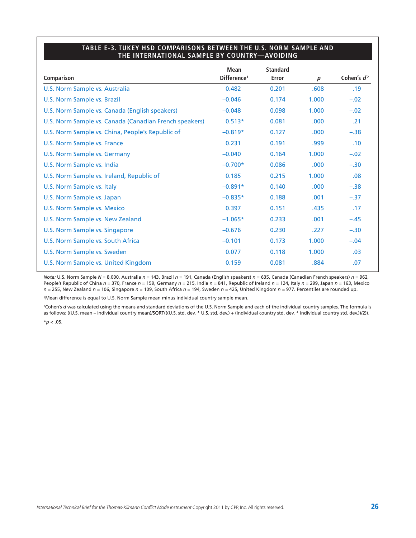#### **TABLE E-3. TUKEY HSD COMPARISONS BETWEEN THE U.S. NORM SAMPLE AND THE INTERNATIONAL SAMPLE BY COUNTRY—AVOIDING**

|                                                        | <b>Mean</b>             | <b>Standard</b> |                   |               |
|--------------------------------------------------------|-------------------------|-----------------|-------------------|---------------|
| Comparison                                             | Difference <sup>1</sup> | Error           | $\boldsymbol{p}$  | Cohen's $d^2$ |
| U.S. Norm Sample vs. Australia                         | 0.482                   | 0.201           | .608              | .19           |
| U.S. Norm Sample vs. Brazil                            | $-0.046$                | 0.174           | 1.000             | $-.02$        |
| U.S. Norm Sample vs. Canada (English speakers)         | $-0.048$                | 0.098           | 1.000             | $-.02$        |
| U.S. Norm Sample vs. Canada (Canadian French speakers) | $0.513*$                | 0.081           | .000 <sub>1</sub> | .21           |
| U.S. Norm Sample vs. China, People's Republic of       | $-0.819*$               | 0.127           | .000 <sub>1</sub> | $-.38$        |
| U.S. Norm Sample vs. France                            | 0.231                   | 0.191           | .999              | .10           |
| U.S. Norm Sample vs. Germany                           | $-0.040$                | 0.164           | 1.000             | $-.02$        |
| U.S. Norm Sample vs. India                             | $-0.700*$               | 0.086           | .000              | $-.30$        |
| U.S. Norm Sample vs. Ireland, Republic of              | 0.185                   | 0.215           | 1.000             | .08           |
| U.S. Norm Sample vs. Italy                             | $-0.891*$               | 0.140           | .000              | $-.38$        |
| U.S. Norm Sample vs. Japan                             | $-0.835*$               | 0.188           | .001              | $-.37$        |
| <b>U.S. Norm Sample vs. Mexico</b>                     | 0.397                   | 0.151           | .435              | .17           |
| U.S. Norm Sample vs. New Zealand                       | $-1.065*$               | 0.233           | .001              | $-.45$        |
| U.S. Norm Sample vs. Singapore                         | $-0.676$                | 0.230           | .227              | $-.30$        |
| U.S. Norm Sample vs. South Africa                      | $-0.101$                | 0.173           | 1.000             | $-.04$        |
| U.S. Norm Sample vs. Sweden                            | 0.077                   | 0.118           | 1.000             | .03           |
| U.S. Norm Sample vs. United Kingdom                    | 0.159                   | 0.081           | .884              | .07           |

*Note:* U.S. Norm Sample *N* = 8,000, Australia *n* = 143, Brazil *n* = 191, Canada (English speakers) *n* = 635, Canada (Canadian French speakers) *n* = 962, People's Republic of China *n* = 370, France *n* = 159, Germany *n* = 215, India *n* = 841, Republic of Ireland *n* = 124, Italy *n* = 299, Japan *n* = 163, Mexico *n* = 255, New Zealand *n* = 106, Singapore *n* = 109, South Africa *n* = 194, Sweden *n* = 425, United Kingdom *n* = 977. Percentiles are rounded up.

1Mean difference is equal to U.S. Norm Sample mean minus individual country sample mean.

<sup>2</sup>Cohen's *d* was calculated using the means and standard deviations of the U.S. Norm Sample and each of the individual country samples. The formula is as follows: ((U.S. mean – individual country mean)/SQRT(((U.S. std. dev. \* U.S. std. dev.) + (individual country std. dev. \* individual country std. dev.))/2)).  $*$ *p* < .05.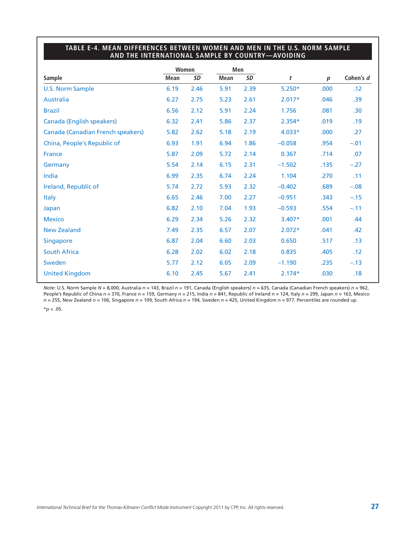## **TABLE E-4. MEAN DIFFERENCES BETWEEN WOMEN AND MEN IN THE U.S. NORM SAMPLE AND THE INTERNATIONAL SAMPLE BY COUNTRY—AVOIDING**

|                                          |             | Women     |             | Men       |          |                  |                  |
|------------------------------------------|-------------|-----------|-------------|-----------|----------|------------------|------------------|
| <b>Sample</b>                            | <b>Mean</b> | <b>SD</b> | <b>Mean</b> | <b>SD</b> | t        | $\boldsymbol{p}$ | Cohen's d        |
| <b>U.S. Norm Sample</b>                  | 6.19        | 2.46      | 5.91        | 2.39      | $5.250*$ | .000             | .12              |
| <b>Australia</b>                         | 6.27        | 2.75      | 5.23        | 2.61      | $2.017*$ | .046             | .39              |
| <b>Brazil</b>                            | 6.56        | 2.12      | 5.91        | 2.24      | 1.756    | .081             | .30 <sub>0</sub> |
| <b>Canada (English speakers)</b>         | 6.32        | 2.41      | 5.86        | 2.37      | $2.354*$ | .019             | .19              |
| <b>Canada (Canadian French speakers)</b> | 5.82        | 2.62      | 5.18        | 2.19      | 4.033*   | .000             | .27              |
| China, People's Republic of              | 6.93        | 1.91      | 6.94        | 1.86      | $-0.058$ | .954             | $-.01$           |
| France                                   | 5.87        | 2.09      | 5.72        | 2.14      | 0.367    | .714             | .07              |
| Germany                                  | 5.54        | 2.14      | 6.15        | 2.31      | $-1.502$ | .135             | $-.27$           |
| India                                    | 6.99        | 2.35      | 6.74        | 2.24      | 1.104    | .270             | .11              |
| Ireland, Republic of                     | 5.74        | 2.72      | 5.93        | 2.32      | $-0.402$ | .689             | $-.08$           |
| <b>Italy</b>                             | 6.65        | 2.46      | 7.00        | 2.27      | $-0.951$ | .343             | $-.15$           |
| Japan                                    | 6.82        | 2.10      | 7.04        | 1.93      | $-0.593$ | .554             | $-.11$           |
| <b>Mexico</b>                            | 6.29        | 2.34      | 5.26        | 2.32      | 3.407*   | .001             | .44              |
| <b>New Zealand</b>                       | 7.49        | 2.35      | 6.57        | 2.07      | $2.072*$ | .041             | .42              |
| <b>Singapore</b>                         | 6.87        | 2.04      | 6.60        | 2.03      | 0.650    | .517             | .13              |
| <b>South Africa</b>                      | 6.28        | 2.02      | 6.02        | 2.18      | 0.835    | .405             | .12              |
| Sweden                                   | 5.77        | 2.12      | 6.05        | 2.09      | $-1.190$ | .235             | $-.13$           |
| <b>United Kingdom</b>                    | 6.10        | 2.45      | 5.67        | 2.41      | $2.174*$ | .030             | .18              |

*Note:* U.S. Norm Sample *N* = 8,000, Australia *n* = 143, Brazil *n* = 191, Canada (English speakers) *n* = 635, Canada (Canadian French speakers) *n* = 962, People's Republic of China *n* = 370, France *n* = 159, Germany *n* = 215, India *n* = 841, Republic of Ireland *n* = 124, Italy *n* = 299, Japan *n* = 163, Mexico *n* = 255, New Zealand *n* = 106, Singapore *n* = 109, South Africa *n* = 194, Sweden *n* = 425, United Kingdom *n* = 977. Percentiles are rounded up.

 $*$ *p* < .05.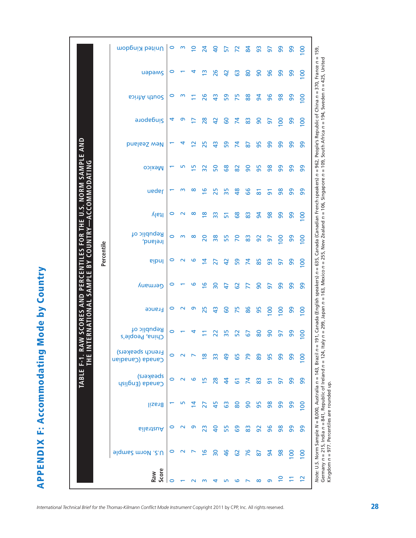**APPENDIX F: Accommodating Mode by Country APPENDIX F: Accommodating Mode by Country**

|                                                | United Kingdom                       | $\circ$ | $\sim$             | $\overline{0}$     | 24             | $\overline{a}$ | 57             | $\mathsf{R}$   | 84 | 93                 | 57             | 99               | 99               | $\overline{100}$ |
|------------------------------------------------|--------------------------------------|---------|--------------------|--------------------|----------------|----------------|----------------|----------------|----|--------------------|----------------|------------------|------------------|------------------|
|                                                | uapams                               | 0       |                    | ↴                  | ≅              | 26             | $\overline{4}$ | යි             | 80 | 8                  | 96             | 99               | 99               | $\overline{100}$ |
|                                                | South Africa                         | 0       | m                  |                    | 26             | $\frac{3}{4}$  | S9             | 75             | 88 | $\overline{a}$     | 96             | 98               | 99               | 8                |
|                                                | <b>Singapore</b>                     | 4       | თ                  |                    | 28             | $\overline{4}$ | <b>GO</b>      | $\mathbf{z}$   | 83 | 90                 | 5              | $\overline{5}$   | 99               | $\overline{8}$   |
| <b>NORM SAMPLE</b>                             | <b>Dinable Sealand</b>               |         | 4                  | $\bar{\mathbf{c}}$ | 25             | $\frac{3}{4}$  | S9             | 74             | 28 | 95                 | 8              | 99               | 99               | ႙ၟ               |
|                                                | <b>Mexico</b>                        |         | m                  | Ξ                  | 32             | 50             | 89             | $\overline{8}$ | 90 | 56                 | 98             | 99               | 99               | ၜၟ               |
| <b>ACCOMMODATING</b>                           | neqsl                                |         | m                  | $\infty$           | ڡ              | 25             | 35             | $\frac{8}{4}$  | 8g | $\overline{\circ}$ | $\overline{5}$ | 98               | 99               | 99               |
|                                                | ltaly                                | 0       | $\scriptstyle\sim$ | ∞                  | $\frac{8}{1}$  | 33             | 51             | 89             | 83 | 54                 | 86             | 99               | 99               | $\overline{0}$   |
| COUNTRY                                        | Republic of<br>Ireland,              | $\circ$ | $\mathsf{m}$       | $\infty$           | 20             | 38             | 55             | 20             | 83 | 92                 | 5              | $\overline{100}$ | 99               | $\overline{0}$   |
| Percentile<br>$\mathsf{B}^{\mathsf{Y}}$<br>بىر | <b>eibnl</b>                         | 0       | $\sim$             | ဖ                  | 4              | 27             | $\overline{a}$ | 59             | 74 | 85                 | 93             | 50               | 99               | 8                |
| SAMPL                                          | Germany                              | 0       |                    | ဖ                  | $\frac{1}{2}$  | 30             | 47             | 29             | F  | 8                  | 57             | 99               | 99               | 8                |
| ERNATIONAL                                     | France                               | 0       | $\sim$             | ō                  | 25             | $\frac{3}{4}$  | <b>S</b>       | 75             | 86 | 95                 | 100            | 100              | 99               | $\overline{0}$   |
|                                                | Republic of<br>China, People's       | 0       |                    |                    |                |                | 55             | 52             | 5  | 80                 | ဓ              | 57               | 99               | $\overline{0}$   |
|                                                | French speakers)<br>Canada (Canadian | $\circ$ |                    |                    |                |                | ဍ              | မြ             |    | စ္စ                | 56             | 99               | 99               | $\overline{0}$   |
|                                                | speakers)<br>Canada (English         | 0       | $\sim$             | ဖ                  | $\overline{5}$ | 28             | \$             | 5              | 24 | 83                 | 5              | 5                | 99               | 8                |
|                                                | Brazil                               |         |                    |                    | 27             | 45             | င္ယ            | 80             | 90 | 56                 | $\frac{8}{5}$  | 99               | 99               | $\overline{0}$   |
|                                                | Australia                            |         |                    | თ                  | 23             | $\overline{a}$ | 55             | 89             | 83 | 92                 | 96             | 98               | 8                | 8                |
|                                                | U.S. Norm Sample                     | 0       |                    |                    | $\overline{9}$ | 30             | $\frac{6}{5}$  | 29             | 76 | 2                  | $\overline{a}$ | 98               | $\overline{100}$ | $\overline{8}$   |
|                                                | Score<br><b>Raw</b>                  |         |                    |                    |                |                |                |                |    |                    |                |                  |                  |                  |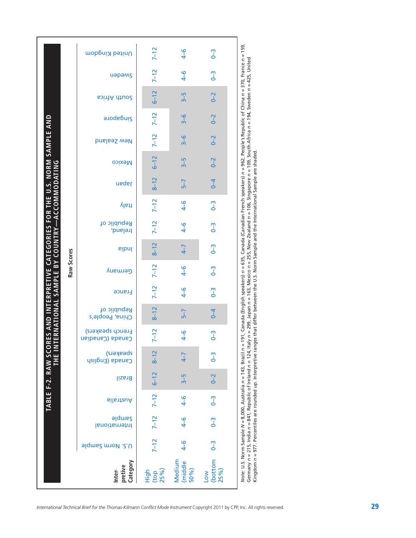|                                                              | United Kingdom                        | $7 - 12$                  | $4-6$                     | $\sqrt{0}$             |                                                                                                                                                                                                                                                                                                                                                                                                                                                        |
|--------------------------------------------------------------|---------------------------------------|---------------------------|---------------------------|------------------------|--------------------------------------------------------------------------------------------------------------------------------------------------------------------------------------------------------------------------------------------------------------------------------------------------------------------------------------------------------------------------------------------------------------------------------------------------------|
|                                                              | uapams                                | $7 - 12$                  | $4-6$                     | $\sqrt{0}$             |                                                                                                                                                                                                                                                                                                                                                                                                                                                        |
|                                                              | <b>South Africa</b>                   | $6 - 12$                  | $3-5$                     | $0 - 2$                |                                                                                                                                                                                                                                                                                                                                                                                                                                                        |
|                                                              | <b>Singapore</b>                      | $7 - 12$                  | $3 - 6$                   | $0 - 2$                |                                                                                                                                                                                                                                                                                                                                                                                                                                                        |
|                                                              | New Zealand                           | $7 - 12$                  | $3 - 6$                   | $0 - 2$                |                                                                                                                                                                                                                                                                                                                                                                                                                                                        |
|                                                              | <b>Mexico</b>                         | $6 - 12$                  | $3-5$                     | $0 - 2$                |                                                                                                                                                                                                                                                                                                                                                                                                                                                        |
|                                                              | neqsl                                 | $8 - 12$                  | $5 - 7$                   | $\overline{4}$         |                                                                                                                                                                                                                                                                                                                                                                                                                                                        |
| <b>ACCOMMODATING</b>                                         | ltaly                                 | $7 - 12$                  | $4-6$                     | $0 - 3$                |                                                                                                                                                                                                                                                                                                                                                                                                                                                        |
| RES AND INTERPRETIVE CATEGORIES FOR THE U.S. NORM SAMPLE AND | Republic of<br>Ireland,               | $7 - 12$                  | $4-6$                     | $\sqrt{2}$             | 191, Canada (English speakers) n = 635, Canada (Canadian French speakers) n = 962, People's Republic of China n = 370, France n = 159,                                                                                                                                                                                                                                                                                                                 |
| <b>ERNATIONAL SAMPLE BY COUNTRY-</b>                         | <b>Pipul</b>                          | $8 - 12$                  | $4 - 7$                   | $\sqrt{2}$             |                                                                                                                                                                                                                                                                                                                                                                                                                                                        |
| Raw Scores                                                   | Germany                               | $7 - 12$                  | $4-6$                     | $\sqrt{2}$             |                                                                                                                                                                                                                                                                                                                                                                                                                                                        |
|                                                              | France                                | $7-12$                    | $4-6$                     | $\sqrt{0}$             |                                                                                                                                                                                                                                                                                                                                                                                                                                                        |
|                                                              | Republic of<br>China, People's        | $8 - 12$                  | $5-7$                     | $\overline{6}$         |                                                                                                                                                                                                                                                                                                                                                                                                                                                        |
|                                                              | <b>French speakers)</b><br>Canadianco | $7 - 12$                  | $4 - 6$                   | $\sqrt{2}$             |                                                                                                                                                                                                                                                                                                                                                                                                                                                        |
| THE IN                                                       | speskers)<br>Canada (English          | $8 - 12$                  | $4 - 7$                   | $\sqrt{2}$             |                                                                                                                                                                                                                                                                                                                                                                                                                                                        |
|                                                              | <b>Brazil</b>                         | $6 - 12$                  | $3-5$                     | $0 - 2$                |                                                                                                                                                                                                                                                                                                                                                                                                                                                        |
| TABLE F-2. RAW SCOI                                          | Australia                             | $7 - 12$                  | $4-6$                     | $\sqrt{0}$             |                                                                                                                                                                                                                                                                                                                                                                                                                                                        |
|                                                              | <b>Sample</b><br>International        | $7 - 12$                  | $4-6$                     | $\sqrt{2}$             |                                                                                                                                                                                                                                                                                                                                                                                                                                                        |
|                                                              | <b>J.S. Norm Sample</b>               | $7 - 12$                  | $4-6$                     | $\sqrt{2}$             |                                                                                                                                                                                                                                                                                                                                                                                                                                                        |
|                                                              | Category<br>pretive<br>Inter-         | High<br>$_{25\%}^{(top)}$ | Medium<br>(middle<br>50%) | (bottom<br>25%)<br>Low | Germany $n = 215$ , India $n = 841$ , Republic of Ireland $n = 124$ , Italy $n = 299$ , Japan $n = 163$ , Mexico $n = 255$ , New Zealand $n = 106$ , Singapore $n = 109$ , South Africa $n = 194$ , Sweden $n = 425$ , United<br>Kingdom n = 977. Percentiles are rounded up. Interpretive ranges that differ between the U.S. Norm Sample and the International Sample are shaded.<br>Note: U.S. Norm Sample N = 8,000, Australia n = 143, Brazil n = |

Kingdom *n* = 977. Percentiles are rounded up. Interpretive ranges that differ between the U.S. Norm Sample and the International Sample are shaded.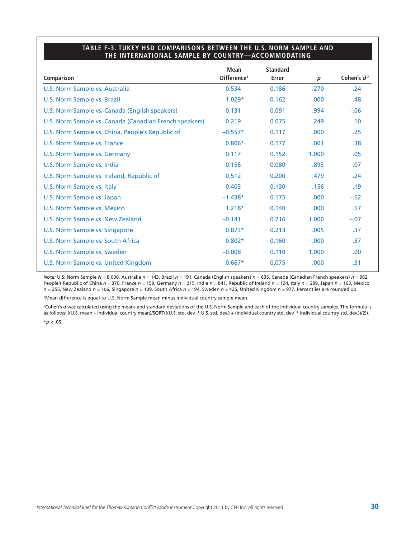#### **TABLE F-3. TUKEY HSD COMPARISONS BETWEEN THE U.S. NORM SAMPLE AND THE INTERNATIONAL SAMPLE BY COUNTRY—ACCOMMODATING**

|                                                        | <b>Mean</b>             | <b>Standard</b> |                  |                  |
|--------------------------------------------------------|-------------------------|-----------------|------------------|------------------|
| Comparison                                             | Difference <sup>1</sup> | Error           | $\boldsymbol{p}$ | Cohen's $d^2$    |
| U.S. Norm Sample vs. Australia                         | 0.534                   | 0.186           | .270             | .24              |
| <b>U.S. Norm Sample vs. Brazil</b>                     | $1.029*$                | 0.162           | .000.            | .48              |
| U.S. Norm Sample vs. Canada (English speakers)         | $-0.131$                | 0.091           | .994             | $-.06$           |
| U.S. Norm Sample vs. Canada (Canadian French speakers) | 0.219                   | 0.075           | .249             | .10              |
| U.S. Norm Sample vs. China, People's Republic of       | $-0.557*$               | 0.117           | .000             | .25              |
| U.S. Norm Sample vs. France                            | $0.806*$                | 0.177           | .001             | .38 <sub>0</sub> |
| U.S. Norm Sample vs. Germany                           | 0.117                   | 0.152           | 1.000            | .05              |
| U.S. Norm Sample vs. India                             | $-0.156$                | 0.080           | .893             | $-.07$           |
| U.S. Norm Sample vs. Ireland, Republic of              | 0.512                   | 0.200           | .479             | .24              |
| U.S. Norm Sample vs. Italy                             | 0.403                   | 0.130           | .156             | .19              |
| U.S. Norm Sample vs. Japan                             | $-1.438*$               | 0.175           | .000             | $-.62$           |
| U.S. Norm Sample vs. Mexico                            | $1.218*$                | 0.140           | .000             | .57              |
| U.S. Norm Sample vs. New Zealand                       | $-0.141$                | 0.216           | 1.000            | $-.07$           |
| U.S. Norm Sample vs. Singapore                         | $0.873*$                | 0.213           | .005             | .37              |
| U.S. Norm Sample vs. South Africa                      | $0.802*$                | 0.160           | .000             | .37              |
| U.S. Norm Sample vs. Sweden                            | $-0.008$                | 0.110           | 1.000            | .00.             |
| U.S. Norm Sample vs. United Kingdom                    | $0.667*$                | 0.075           | .000.            | .31              |

*Note:* U.S. Norm Sample *N* = 8,000, Australia *n* = 143, Brazil *n* = 191, Canada (English speakers) *n* = 635, Canada (Canadian French speakers) *n* = 962, People's Republic of China *n* = 370, France *n* = 159, Germany *n* = 215, India *n* = 841, Republic of Ireland *n* = 124, Italy *n* = 299, Japan *n* = 163, Mexico *n* = 255, New Zealand *n* = 106, Singapore *n* = 109, South Africa *n* = 194, Sweden *n* = 425, United Kingdom *n* = 977. Percentiles are rounded up.

1Mean difference is equal to U.S. Norm Sample mean minus individual country sample mean.

<sup>2</sup>Cohen's *d* was calculated using the means and standard deviations of the U.S. Norm Sample and each of the individual country samples. The formula is as follows: ((U.S. mean – individual country mean)/SQRT(((U.S. std. dev. \* U.S. std. dev.) + (individual country std. dev. \* individual country std. dev.))/2)).  $*$ *p* < .05.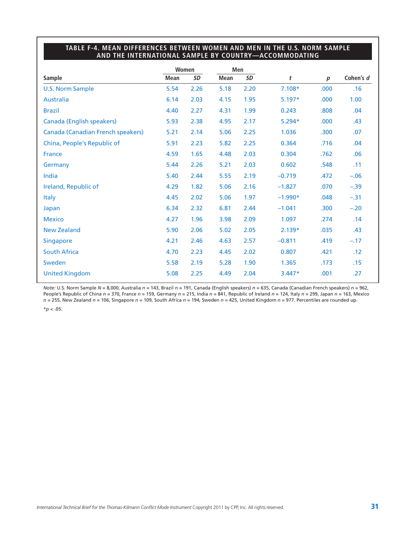## **TABLE F-4. MEAN DIFFERENCES BETWEEN WOMEN AND MEN IN THE U.S. NORM SAMPLE AND THE INTERNATIONAL SAMPLE BY COUNTRY—ACCOMMODATING**

|                                   |             | Women |             | Men  |           |                  |           |
|-----------------------------------|-------------|-------|-------------|------|-----------|------------------|-----------|
| <b>Sample</b>                     | <b>Mean</b> | SD    | <b>Mean</b> | SD   | t         | $\boldsymbol{p}$ | Cohen's d |
| <b>U.S. Norm Sample</b>           | 5.54        | 2.26  | 5.18        | 2.20 | $7.108*$  | .000             | .16       |
| <b>Australia</b>                  | 6.14        | 2.03  | 4.15        | 1.95 | $5.197*$  | .000             | 1.00      |
| <b>Brazil</b>                     | 4.40        | 2.27  | 4.31        | 1.99 | 0.243     | .808             | .04       |
| <b>Canada (English speakers)</b>  | 5.93        | 2.38  | 4.95        | 2.17 | $5.294*$  | .000             | .43       |
| Canada (Canadian French speakers) | 5.21        | 2.14  | 5.06        | 2.25 | 1.036     | .300             | .07       |
| China, People's Republic of       | 5.91        | 2.23  | 5.82        | 2.25 | 0.364     | .716             | .04       |
| France                            | 4.59        | 1.65  | 4.48        | 2.03 | 0.304     | .762             | .06       |
| Germany                           | 5.44        | 2.26  | 5.21        | 2.03 | 0.602     | .548             | .11       |
| India                             | 5.40        | 2.44  | 5.55        | 2.19 | $-0.719$  | .472             | $-.06$    |
| Ireland, Republic of              | 4.29        | 1.82  | 5.06        | 2.16 | $-1.827$  | .070             | $-.39$    |
| <b>Italy</b>                      | 4.45        | 2.02  | 5.06        | 1.97 | $-1.990*$ | .048             | $-.31$    |
| Japan                             | 6.34        | 2.32  | 6.81        | 2.44 | $-1.041$  | .300             | $-.20$    |
| <b>Mexico</b>                     | 4.27        | 1.96  | 3.98        | 2.09 | 1.097     | .274             | .14       |
| <b>New Zealand</b>                | 5.90        | 2.06  | 5.02        | 2.05 | $2.139*$  | .035             | .43       |
| <b>Singapore</b>                  | 4.21        | 2.46  | 4.63        | 2.57 | $-0.811$  | .419             | $-.17$    |
| <b>South Africa</b>               | 4.70        | 2.23  | 4.45        | 2.02 | 0.807     | .421             | .12       |
| Sweden                            | 5.58        | 2.19  | 5.28        | 1.90 | 1.365     | .173             | .15       |
| <b>United Kingdom</b>             | 5.08        | 2.25  | 4.49        | 2.04 | $3.447*$  | .001             | .27       |

*Note:* U.S. Norm Sample *N* = 8,000, Australia *n* = 143, Brazil *n* = 191, Canada (English speakers) *n* = 635, Canada (Canadian French speakers) *n* = 962, People's Republic of China *n* = 370, France *n* = 159, Germany *n* = 215, India *n* = 841, Republic of Ireland *n* = 124, Italy *n* = 299, Japan *n* = 163, Mexico *n* = 255, New Zealand *n* = 106, Singapore *n* = 109, South Africa *n* = 194, Sweden *n* = 425, United Kingdom *n* = 977. Percentiles are rounded up.  $*$ *p* < .05.

*International Technical Brief for the Thomas-Kilmann Conflict Mode Instrument* Copyright <sup>2011</sup> by CPP, Inc. All rights reserved. **31**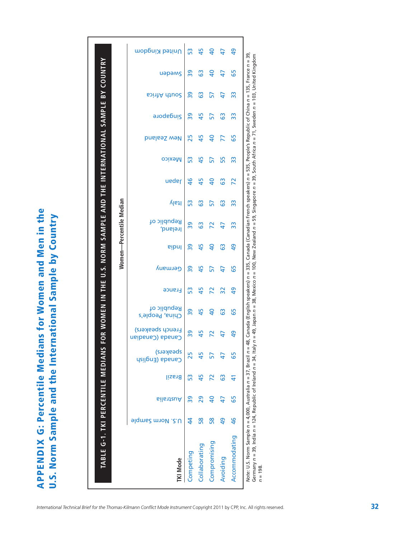**APPENDIX G: Percentile Medians for Women and Men in the APPENDIX G: Percentile Medians for Women and Men in the** U.S. Norm Sample and the International Sample by Country **U.S. Norm Sample and the International Sample by Country**

|                 |                         |           |        |                              |                                     |                                |        |         |                | Women—Percentile Median |       |                |               |                |           |                     |                 |                |
|-----------------|-------------------------|-----------|--------|------------------------------|-------------------------------------|--------------------------------|--------|---------|----------------|-------------------------|-------|----------------|---------------|----------------|-----------|---------------------|-----------------|----------------|
| <b>TKI Mode</b> | <b>J.S. Norm Sample</b> | ⊾ilaาtzuA | Brazil | speskers)<br>Canada (English | French speakers)<br>Canada (Canaban | Republic of<br>China, People's | France | Germany | <b>Pipul</b>   | Republic of<br>Ireland, | ltaly | neqal          | <b>Mexico</b> | New Zealand    | Singapore | <b>South Africa</b> | uapams          | United Kingdom |
| Competing       | 4                       | ၐွ        | ဣ      | 25                           | 39                                  | 39                             | 53     | ႙ၟ      | 39             | 39                      | 53    | $\frac{4}{6}$  | 53            | 25             | ႙ၟ        | ႙ၟ                  | ႙ၟ              | 53             |
| Collaborating   | 58                      | 29        | 45     | 45                           | 45                                  | 45                             | 45     | 45      | 45             | යි                      | ශී    | 45             | 45            | 45             | 45        | යි                  | <u>က</u>        | 45             |
| Compromising    | 58                      | 9         | 2      |                              |                                     | $\overline{a}$                 | 72     | 57      | $\overline{a}$ |                         | 57    | $\overline{a}$ | 57            | $\overline{a}$ | 57        | 57                  | $\overline{a}$  | ੩              |
| Avoiding        | 9                       | 47        | ශී     | 47                           |                                     | යි                             | 32     | 47      | ශී             | $\overline{4}$          | යි    | යි             | 55            | 77             | යි        | 47                  | $\overline{47}$ | $\overline{4}$ |
| Accommodating   | $\frac{4}{6}$           | 65        | 41     | 65                           | 9                                   | 65                             | 9      | 65      | 9              | ဣ                       | ဣ     | 72             | ွာ            | 65             | ွာ        | ွာ                  | 59              | අ              |

*n* = 198.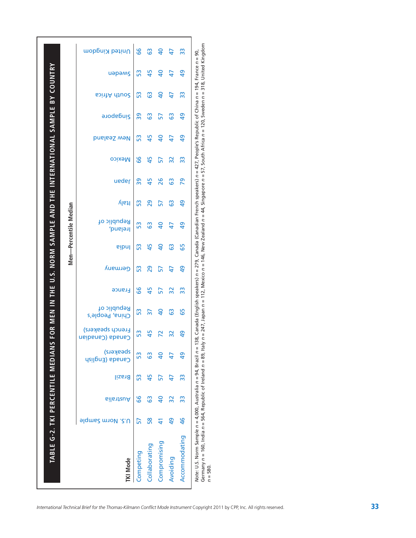|                                                                         |                       | United Kingdom                        | 89        | යි             | ੩              | 47              | ဣ             |
|-------------------------------------------------------------------------|-----------------------|---------------------------------------|-----------|----------------|----------------|-----------------|---------------|
|                                                                         |                       | иәрәмς                                | 53        | 45             | $\overline{a}$ | $\overline{47}$ | $\frac{9}{4}$ |
|                                                                         |                       | South Africa                          | 53        | යි             | $\overline{a}$ | 47              | ဣ             |
|                                                                         |                       | <b>Singapore</b>                      | 39        | යි             | 57             | යි              | ဒ္            |
|                                                                         |                       | New Zealand                           | 53        | 45             | $\overline{a}$ | 47              | 9             |
|                                                                         |                       | <b>Mexico</b>                         | 66        | 45             | 57             | 32              | က္က           |
| FOR MEN IN THE U.S. NORM SAMPLE AND THE INTERNATIONAL SAMPLE BY COUNTRY |                       | <b>ueder</b>                          | 39        | 45             | 26             | යි              | 29            |
|                                                                         |                       | ltaly                                 | 53        | 29             | 57             | යි              | 9             |
|                                                                         | Men-Percentile Median | Republic of<br>Ireland,               | 53        | යි             | $\overline{a}$ | 47              | 9             |
|                                                                         |                       | eibnl                                 | 53        | 45             | $\overline{a}$ | යි              | 65            |
|                                                                         |                       | Germany                               | 53        | 29             | 57             | 47              | $\frac{6}{4}$ |
|                                                                         |                       | <b>France</b>                         | 99        | 45             | 57             | 32              | ဣ             |
|                                                                         |                       | Republic of<br>China, People's        | 53        | $\overline{5}$ | 9              | යි              | 65            |
|                                                                         |                       | <b>French speakers)</b><br>Canadianco | 53        | 45             |                | သူ              | 9             |
|                                                                         |                       | speakers)<br>Canada (English          | SS        | ශී             |                |                 | $\frac{6}{2}$ |
|                                                                         |                       | <b>Brazil</b>                         | 53        | 45             | 57             | 47              | 33            |
|                                                                         |                       | Australia                             | 89        | යි             | $\overline{a}$ | 32              | 33            |
|                                                                         |                       | <b>J.S. Norm Sample</b>               | 57        | $\frac{8}{5}$  |                | 9               | $\frac{4}{6}$ |
| TABLE G-2. TKI PERCENTILE MEDIANS                                       |                       | <b>TKI Mode</b>                       | Competing | Collaborating  | Compromising   | Avoiding        | Accommodating |

Germany n = 160, India n = 564, Republic of Ireland n = 89, Italy n = 247, Japan n = 112, Mexico n = 146, New Zealand n = 44, Singapore n = 57, South Africa n = 120, Sweden n = 318, United Kingdom *n* = 580.